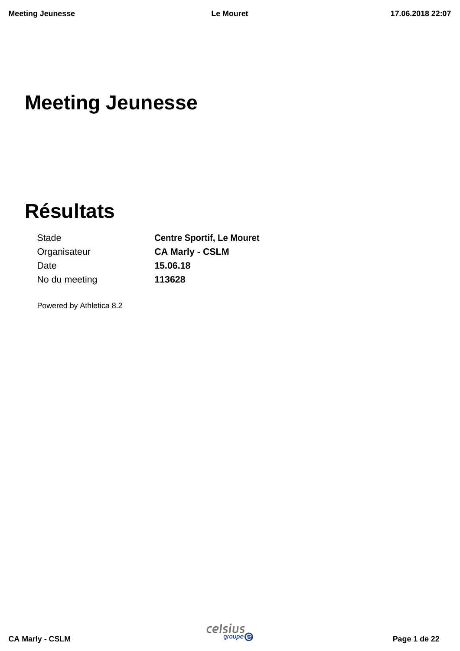# **Meeting Jeunesse**

# **Résultats**

Stade **Centre Sportif, Le Mouret** Organisateur **CA Marly - CSLM** Date **15.06.18** No du meeting **113628**

Powered by Athletica 8.2

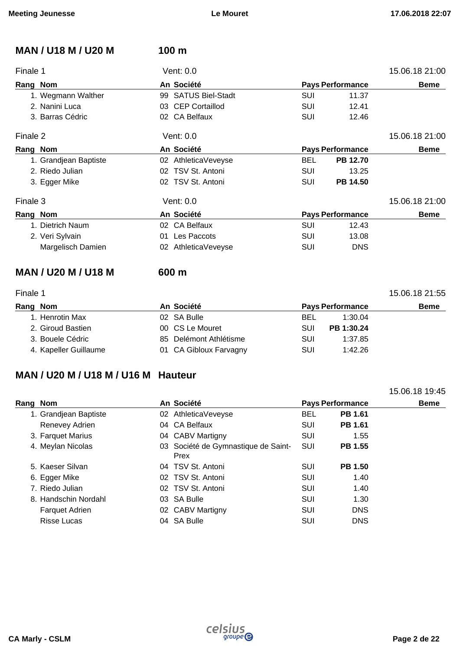| <b>MAN / U18 M / U20 M</b>                       | 100 m               |            |                         |                |
|--------------------------------------------------|---------------------|------------|-------------------------|----------------|
| Finale 1                                         | Vent: 0.0           |            |                         | 15.06.18 21:00 |
| Rang Nom                                         | An Société          |            | <b>Pays Performance</b> | <b>Beme</b>    |
| 1. Wegmann Walther                               | 99 SATUS Biel-Stadt | SUI        | 11.37                   |                |
| 2. Nanini Luca                                   | 03 CEP Cortaillod   | <b>SUI</b> | 12.41                   |                |
| 3. Barras Cédric                                 | 02 CA Belfaux       | SUI        | 12.46                   |                |
| Finale 2                                         | Vent: 0.0           |            |                         | 15.06.18 21:00 |
| Rang Nom                                         | An Société          |            | <b>Pays Performance</b> | <b>Beme</b>    |
| 1. Grandjean Baptiste                            | 02 AthleticaVeveyse | <b>BEL</b> | PB 12.70                |                |
| 2. Riedo Julian                                  | 02 TSV St. Antoni   | SUI        | 13.25                   |                |
| 3. Egger Mike                                    | 02 TSV St. Antoni   | SUI        | PB 14.50                |                |
| Finale 3                                         | Vent: 0.0           |            |                         | 15.06.18 21:00 |
| Rang Nom                                         | An Société          |            | <b>Pays Performance</b> | <b>Beme</b>    |
| 1. Dietrich Naum                                 | 02 CA Belfaux       | SUI        | 12.43                   |                |
| 2. Veri Sylvain                                  | Les Paccots<br>01   | SUI        | 13.08                   |                |
| Margelisch Damien                                | 02 AthleticaVeveyse | SUI        | <b>DNS</b>              |                |
| <b>MAN / U20 M / U18 M</b>                       | 600 m               |            |                         |                |
| Finale 1                                         |                     |            |                         | 15.06.18 21:55 |
| Rang Nom                                         | An Société          |            | <b>Pays Performance</b> | <b>Beme</b>    |
| $\mathbf{A}$ . The concentration of $\mathbf{A}$ | 00000000            | n-1        |                         |                |

| ang Nom               | An Societe             |     | <b>Pays Performance</b> | Beme |
|-----------------------|------------------------|-----|-------------------------|------|
| 1. Henrotin Max       | 02 SA Bulle            | BEL | 1:30.04                 |      |
| 2. Giroud Bastien     | 00 CS Le Mouret        | SUI | PB 1:30.24              |      |
| 3. Bouele Cédric      | 85 Delémont Athlétisme | SUI | 1:37.85                 |      |
| 4. Kapeller Guillaume | 01 CA Gibloux Farvagny | SUI | 1:42.26                 |      |

## **MAN / U20 M / U18 M / U16 M Hauteur**

|          |                       |                                             |                         |                | 15.06.18 19:45 |
|----------|-----------------------|---------------------------------------------|-------------------------|----------------|----------------|
| Rang Nom |                       | An Société                                  | <b>Pays Performance</b> |                | <b>Beme</b>    |
|          | 1. Grandjean Baptiste | 02 AthleticaVeveyse                         | <b>BEL</b>              | PB 1.61        |                |
|          | Renevey Adrien        | 04 CA Belfaux                               | SUI                     | <b>PB 1.61</b> |                |
|          | 3. Farquet Marius     | 04 CABV Martigny                            | <b>SUI</b>              | 1.55           |                |
|          | 4. Meylan Nicolas     | 03 Société de Gymnastique de Saint-<br>Prex | SUI                     | PB 1.55        |                |
|          | 5. Kaeser Silvan      | 04 TSV St. Antoni                           | SUI                     | <b>PB 1.50</b> |                |
|          | 6. Egger Mike         | 02 TSV St. Antoni                           | SUI                     | 1.40           |                |
|          | 7. Riedo Julian       | 02 TSV St. Antoni                           | SUI                     | 1.40           |                |
|          | 8. Handschin Nordahl  | 03 SA Bulle                                 | SUI                     | 1.30           |                |
|          | <b>Farquet Adrien</b> | 02 CABV Martigny                            | SUI                     | <b>DNS</b>     |                |
|          | <b>Risse Lucas</b>    | 04 SA Bulle                                 | SUI                     | <b>DNS</b>     |                |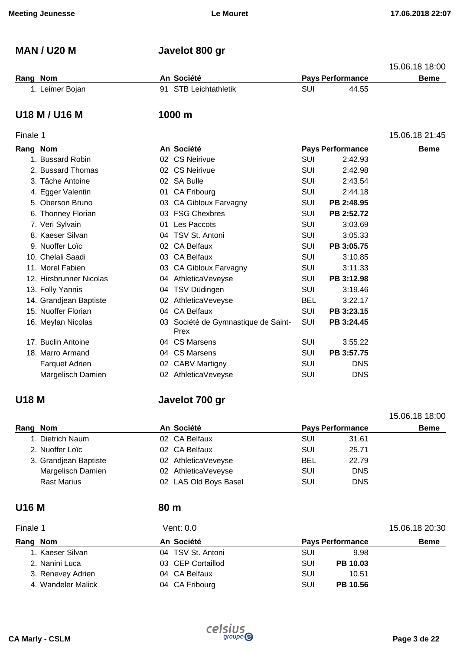## **MAN / U20 M Javelot 800 gr**

|                 |                       |     |                         | 15.06.18 18:00 |
|-----------------|-----------------------|-----|-------------------------|----------------|
| Rang Nom        | An Société            |     | <b>Pays Performance</b> | Beme           |
| 1. Leimer Bojan | 91 STB Leichtathletik | SUI | 44.55                   |                |

### **U18 M / U16 M 1000 m**

### Finale 1 15.06.18 21:45

| Rang Nom |                         |    | An Société                                  |            | <b>Pays Performance</b> | <b>Beme</b> |
|----------|-------------------------|----|---------------------------------------------|------------|-------------------------|-------------|
|          | 1. Bussard Robin        |    | 02 CS Neirivue                              | <b>SUI</b> | 2:42.93                 |             |
|          | 2. Bussard Thomas       |    | 02 CS Neirivue                              | <b>SUI</b> | 2:42.98                 |             |
|          | 3. Tâche Antoine        |    | 02 SA Bulle                                 | <b>SUI</b> | 2:43.54                 |             |
|          | 4. Egger Valentin       |    | 01 CA Fribourg                              | <b>SUI</b> | 2:44.18                 |             |
|          | 5. Oberson Bruno        |    | 03 CA Gibloux Farvagny                      | SUI        | PB 2:48.95              |             |
|          | 6. Thonney Florian      |    | 03 FSG Chexbres                             | <b>SUI</b> | PB 2:52.72              |             |
|          | 7. Veri Sylvain         | 01 | Les Paccots                                 | <b>SUI</b> | 3:03.69                 |             |
|          | 8. Kaeser Silvan        |    | 04 TSV St. Antoni                           | <b>SUI</b> | 3:05.33                 |             |
|          | 9. Nuoffer Loïc         |    | 02 CA Belfaux                               | <b>SUI</b> | PB 3:05.75              |             |
|          | 10. Chelali Saadi       | 03 | <b>CA Belfaux</b>                           | <b>SUI</b> | 3:10.85                 |             |
|          | 11. Morel Fabien        |    | 03 CA Gibloux Farvagny                      | <b>SUI</b> | 3:11.33                 |             |
|          | 12. Hirsbrunner Nicolas |    | 04 AthleticaVeveyse                         | SUI        | PB 3:12.98              |             |
|          | 13. Folly Yannis        |    | 04 TSV Düdingen                             | SUI        | 3:19.46                 |             |
|          | 14. Grandjean Baptiste  |    | 02 AthleticaVeveyse                         | <b>BEL</b> | 3:22.17                 |             |
|          | 15. Nuoffer Florian     |    | 04 CA Belfaux                               | SUI        | PB 3:23.15              |             |
|          | 16. Meylan Nicolas      |    | 03 Société de Gymnastique de Saint-<br>Prex | <b>SUI</b> | PB 3:24.45              |             |
|          | 17. Buclin Antoine      |    | 04 CS Marsens                               | SUI        | 3:55.22                 |             |
|          | 18. Marro Armand        |    | 04 CS Marsens                               | SUI        | PB 3:57.75              |             |
|          | <b>Farquet Adrien</b>   |    | 02 CABV Martigny                            | SUI        | <b>DNS</b>              |             |
|          | Margelisch Damien       |    | 02 AthleticaVeveyse                         | <b>SUI</b> | <b>DNS</b>              |             |

## **U18 M Javelot 700 gr**

| Rang Nom        |                       | An Société            |            | <b>Pays Performance</b> | <b>Beme</b> |
|-----------------|-----------------------|-----------------------|------------|-------------------------|-------------|
|                 | 1. Dietrich Naum      | 02 CA Belfaux         | <b>SUI</b> | 31.61                   |             |
| 2. Nuoffer Loïc |                       | 02 CA Belfaux         | <b>SUI</b> | 25.71                   |             |
|                 | 3. Grandjean Baptiste | 02 AthleticaVeveyse   | <b>BEL</b> | 22.79                   |             |
|                 | Margelisch Damien     | 02 AthleticaVeveyse   | SUI        | <b>DNS</b>              |             |
|                 | <b>Rast Marius</b>    | 02 LAS Old Boys Basel | SUI        | <b>DNS</b>              |             |

## **U16 M 80 m**

| Finale 1           | Vent: 0.0         |                         |             |  |  |  |
|--------------------|-------------------|-------------------------|-------------|--|--|--|
| Rang Nom           | An Société        | <b>Pays Performance</b> | <b>Beme</b> |  |  |  |
| 1. Kaeser Silvan   | 04 TSV St. Antoni | SUI<br>9.98             |             |  |  |  |
| 2. Nanini Luca     | 03 CEP Cortaillod | PB 10.03<br><b>SUI</b>  |             |  |  |  |
| 3. Renevey Adrien  | 04 CA Belfaux     | SUI<br>10.51            |             |  |  |  |
| 4. Wandeler Malick | 04 CA Fribourg    | PB 10.56<br>SUI         |             |  |  |  |



15.06.18 18:00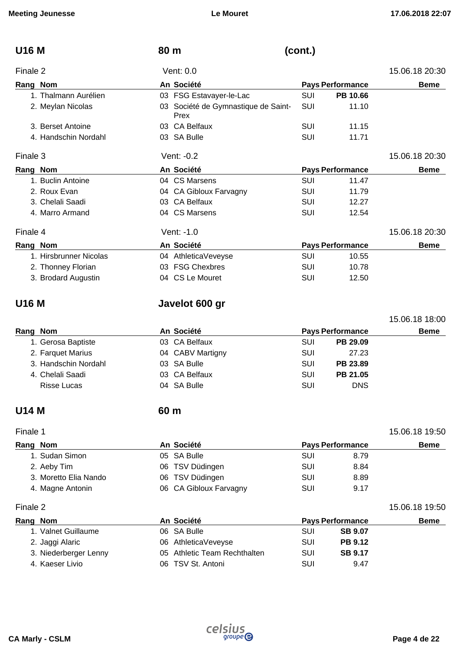| <b>U16 M</b>           | 80 m                                        | (cont.)    |                         |                |
|------------------------|---------------------------------------------|------------|-------------------------|----------------|
| Finale 2               | Vent: 0.0                                   |            |                         | 15.06.18 20:30 |
| Rang Nom               | An Société                                  |            | <b>Pays Performance</b> | <b>Beme</b>    |
| 1. Thalmann Aurélien   | 03 FSG Estavayer-le-Lac                     | SUI        | PB 10.66                |                |
| 2. Meylan Nicolas      | 03 Société de Gymnastique de Saint-<br>Prex | SUI        | 11.10                   |                |
| 3. Berset Antoine      | 03 CA Belfaux                               | SUI        | 11.15                   |                |
| 4. Handschin Nordahl   | 03 SA Bulle                                 | SUI        | 11.71                   |                |
| Finale 3               | Vent: -0.2                                  |            |                         | 15.06.18 20:30 |
| Rang Nom               | An Société                                  |            | <b>Pays Performance</b> | <b>Beme</b>    |
| 1. Buclin Antoine      | 04 CS Marsens                               | <b>SUI</b> | 11.47                   |                |
| 2. Roux Evan           | 04 CA Gibloux Farvagny                      | SUI        | 11.79                   |                |
| 3. Chelali Saadi       | 03 CA Belfaux                               | SUI        | 12.27                   |                |
| 4. Marro Armand        | 04 CS Marsens                               | <b>SUI</b> | 12.54                   |                |
| Finale 4               | Vent: -1.0                                  |            |                         | 15.06.18 20:30 |
| Rang Nom               | An Société                                  |            | <b>Pays Performance</b> | <b>Beme</b>    |
| 1. Hirsbrunner Nicolas | 04 AthleticaVeveyse                         | SUI        | 10.55                   |                |
| 2. Thonney Florian     | <b>FSG Chexbres</b><br>03                   | <b>SUI</b> | 10.78                   |                |
| 3. Brodard Augustin    | 04 CS Le Mouret                             | <b>SUI</b> | 12.50                   |                |

## **U16 M Javelot 600 gr**

| Rang Nom |                      | An Société       |     | <b>Pays Performance</b> | Beme |
|----------|----------------------|------------------|-----|-------------------------|------|
|          | 1. Gerosa Baptiste   | 03 CA Belfaux    | SUI | PB 29.09                |      |
|          | 2. Farquet Marius    | 04 CABV Martigny | SUI | 27.23                   |      |
|          | 3. Handschin Nordahl | 03 SA Bulle      | SUI | PB 23.89                |      |
|          | 4. Chelali Saadi     | 03 CA Belfaux    | SUI | PB 21.05                |      |
|          | Risse Lucas          | 04 SA Bulle      | SUI | <b>DNS</b>              |      |

## **U14 M 60 m**

Finale 1 15.06.18 19:50

| Rang Nom              | An Société             | <b>Pays Performance</b> |      | <b>Beme</b> |
|-----------------------|------------------------|-------------------------|------|-------------|
| 1. Sudan Simon        | 05 SA Bulle            | SUI                     | 8.79 |             |
| 2. Aeby Tim           | 06 TSV Düdingen        | SUI                     | 8.84 |             |
| 3. Moretto Elia Nando | 06 TSV Düdingen        | SUI                     | 8.89 |             |
| 4. Magne Antonin      | 06 CA Gibloux Farvagny | SUI                     | 9.17 |             |

### Finale 2 15.06.18 19:50

| Rang Nom              | An Société                   | <b>Pays Performance</b> |                | <b>Beme</b> |
|-----------------------|------------------------------|-------------------------|----------------|-------------|
| 1. Valnet Guillaume   | 06 SA Bulle                  | SUI                     | <b>SB 9.07</b> |             |
| 2. Jaggi Alaric       | 06 AthleticaVeveyse          | SUI                     | <b>PB 9.12</b> |             |
| 3. Niederberger Lenny | 05 Athletic Team Rechthalten | SUI                     | <b>SB 9.17</b> |             |
| 4. Kaeser Livio       | 06 TSV St. Antoni            | SUI                     | 9.47           |             |

15.06.18 18:00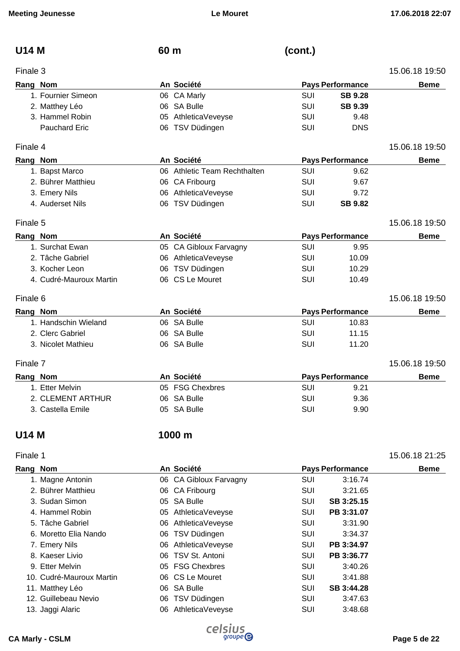| <b>Meeting Jeunesse</b> | <b>Le Mouret</b>             |            |                         | 17.06.2018 22:07 |
|-------------------------|------------------------------|------------|-------------------------|------------------|
| <b>U14 M</b>            | 60 m                         | (cont.)    |                         |                  |
| Finale 3                |                              |            |                         | 15.06.18 19:50   |
| Rang Nom                | An Société                   |            | <b>Pays Performance</b> | <b>Beme</b>      |
| 1. Fournier Simeon      | 06 CA Marly                  | <b>SUI</b> | <b>SB 9.28</b>          |                  |
| 2. Matthey Léo          | 06 SA Bulle                  | <b>SUI</b> | <b>SB 9.39</b>          |                  |
| 3. Hammel Robin         | AthleticaVeveyse<br>05       | SUI        | 9.48                    |                  |
| <b>Pauchard Eric</b>    | 06 TSV Düdingen              | <b>SUI</b> | <b>DNS</b>              |                  |
| Finale 4                |                              |            |                         | 15.06.18 19:50   |
| Rang Nom                | An Société                   |            | <b>Pays Performance</b> | <b>Beme</b>      |
| 1. Bapst Marco          | 06 Athletic Team Rechthalten | <b>SUI</b> | 9.62                    |                  |
| 2. Bührer Matthieu      | 06 CA Fribourg               | SUI        | 9.67                    |                  |
| 3. Emery Nils           | 06 AthleticaVeveyse          | <b>SUI</b> | 9.72                    |                  |
| 4. Auderset Nils        | 06 TSV Düdingen              | SUI        | <b>SB 9.82</b>          |                  |
| Finale 5                |                              |            |                         | 15.06.18 19:50   |
| Rang Nom                | An Société                   |            | <b>Pays Performance</b> | <b>Beme</b>      |
| 1. Surchat Ewan         | 05 CA Gibloux Farvagny       | <b>SUI</b> | 9.95                    |                  |
| 2. Tâche Gabriel        | 06 AthleticaVeveyse          | <b>SUI</b> | 10.09                   |                  |
| 3. Kocher Leon          | TSV Düdingen<br>06           | <b>SUI</b> | 10.29                   |                  |
| 4. Cudré-Mauroux Martin | 06 CS Le Mouret              | SUI        | 10.49                   |                  |
| Finale 6                |                              |            |                         | 15.06.18 19:50   |
| Rang Nom                | An Société                   |            | <b>Pays Performance</b> | <b>Beme</b>      |
| 1. Handschin Wieland    | 06 SA Bulle                  | <b>SUI</b> | 10.83                   |                  |
| 2. Clerc Gabriel        | 06 SA Bulle                  | <b>SUI</b> | 11.15                   |                  |
| 3. Nicolet Mathieu      | 06 SA Bulle                  | SUI        | 11.20                   |                  |
| Finale 7                |                              |            |                         | 15.06.18 19:50   |
| Rang Nom                | An Société                   |            | <b>Pays Performance</b> | <b>Beme</b>      |
| 1. Etter Melvin         | 05 FSG Chexbres              | <b>SUI</b> | 9.21                    |                  |
| 2. CLEMENT ARTHUR       | 06 SA Bulle                  | SUI        | 9.36                    |                  |
| 3. Castella Emile       | 05 SA Bulle                  | <b>SUI</b> | 9.90                    |                  |
| <b>U14 M</b>            | 1000 m                       |            |                         |                  |
| Finale 1                |                              |            |                         | 15.06.18 21:25   |
| Rang Nom                | An Société                   |            | <b>Pays Performance</b> | <b>Beme</b>      |
| 1. Magne Antonin        | 06 CA Gibloux Farvagny       | SUI        | 3:16.74                 |                  |
| 2. Bührer Matthieu      | 06 CA Fribourg               | <b>SUI</b> | 3:21.65                 |                  |
| 3. Sudan Simon          | 05 SA Bulle                  | SUI        | SB 3:25.15              |                  |
| 4. Hammel Robin         | 05 AthleticaVeveyse          | <b>SUI</b> | PB 3:31.07              |                  |
|                         |                              |            |                         |                  |

| ang Nom                  | AII JUUUU              |            | <b>FAYS FULLUITIAILLE</b> | Denie |
|--------------------------|------------------------|------------|---------------------------|-------|
| 1. Magne Antonin         | 06 CA Gibloux Farvagny | <b>SUI</b> | 3:16.74                   |       |
| 2. Bührer Matthieu       | 06 CA Fribourg         | SUI        | 3:21.65                   |       |
| 3. Sudan Simon           | 05 SA Bulle            | <b>SUI</b> | SB 3:25.15                |       |
| 4. Hammel Robin          | 05 AthleticaVeveyse    | <b>SUI</b> | PB 3:31.07                |       |
| 5. Tâche Gabriel         | 06 AthleticaVeveyse    | <b>SUI</b> | 3:31.90                   |       |
| 6. Moretto Elia Nando    | 06 TSV Düdingen        | SUI        | 3:34.37                   |       |
| 7. Emery Nils            | 06 AthleticaVeveyse    | SUI        | PB 3:34.97                |       |
| 8. Kaeser Livio          | 06 TSV St. Antoni      | <b>SUI</b> | PB 3:36.77                |       |
| 9. Etter Melvin          | 05 FSG Chexbres        | <b>SUI</b> | 3:40.26                   |       |
| 10. Cudré-Mauroux Martin | 06 CS Le Mouret        | SUI        | 3:41.88                   |       |
| 11. Matthey Léo          | 06 SA Bulle            | SUI        | SB 3:44.28                |       |
| 12. Guillebeau Nevio     | 06 TSV Düdingen        | SUI        | 3:47.63                   |       |
| 13. Jaggi Alaric         | 06 AthleticaVeveyse    | SUI        | 3:48.68                   |       |
|                          |                        |            |                           |       |

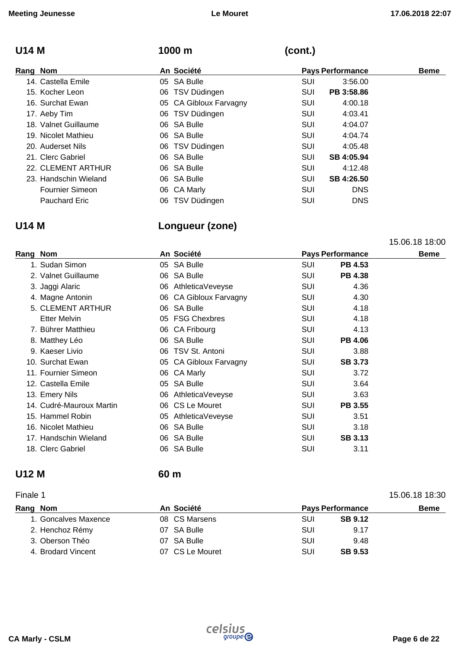## **U14 M 1000 m (cont.)**

| Rang Nom |                        | An Société             |            | <b>Pays Performance</b> | <b>Beme</b> |
|----------|------------------------|------------------------|------------|-------------------------|-------------|
|          | 14. Castella Emile     | 05 SA Bulle            | <b>SUI</b> | 3:56.00                 |             |
|          | 15. Kocher Leon        | 06 TSV Düdingen        | <b>SUI</b> | PB 3:58.86              |             |
|          | 16. Surchat Ewan       | 05 CA Gibloux Farvagny | <b>SUI</b> | 4:00.18                 |             |
|          | 17. Aeby Tim           | 06 TSV Düdingen        | SUI        | 4:03.41                 |             |
|          | 18. Valnet Guillaume   | 06 SA Bulle            | SUI        | 4:04.07                 |             |
|          | 19. Nicolet Mathieu    | 06 SA Bulle            | SUI        | 4:04.74                 |             |
|          | 20. Auderset Nils      | 06 TSV Düdingen        | SUI        | 4:05.48                 |             |
|          | 21. Clerc Gabriel      | 06 SA Bulle            | SUI        | SB 4:05.94              |             |
|          | 22. CLEMENT ARTHUR     | 06 SA Bulle            | SUI        | 4:12.48                 |             |
|          | 23. Handschin Wieland  | 06 SA Bulle            | SUI        | SB 4:26.50              |             |
|          | <b>Fournier Simeon</b> | 06 CA Marly            | SUI        | <b>DNS</b>              |             |
|          | Pauchard Eric          | 06 TSV Düdingen        | SUI        | <b>DNS</b>              |             |

## **U14 M Longueur (zone)**

15.06.18 18:00

| Rang Nom |                          |    | An Société             | <b>Pays Performance</b> |                | <b>Beme</b> |
|----------|--------------------------|----|------------------------|-------------------------|----------------|-------------|
|          | 1. Sudan Simon           |    | 05 SA Bulle            | SUI                     | <b>PB 4.53</b> |             |
|          | 2. Valnet Guillaume      |    | 06 SA Bulle            | SUI                     | <b>PB 4.38</b> |             |
|          | 3. Jaggi Alaric          |    | 06 AthleticaVeveyse    | SUI                     | 4.36           |             |
|          | 4. Magne Antonin         |    | 06 CA Gibloux Farvagny | SUI                     | 4.30           |             |
|          | 5. CLEMENT ARTHUR        |    | 06 SA Bulle            | SUI                     | 4.18           |             |
|          | <b>Etter Melvin</b>      |    | 05 FSG Chexbres        | SUI                     | 4.18           |             |
|          | 7. Bührer Matthieu       |    | 06 CA Fribourg         | SUI                     | 4.13           |             |
|          | 8. Matthey Léo           |    | 06 SA Bulle            | <b>SUI</b>              | <b>PB 4.06</b> |             |
|          | 9. Kaeser Livio          |    | 06 TSV St. Antoni      | <b>SUI</b>              | 3.88           |             |
|          | 10. Surchat Ewan         |    | 05 CA Gibloux Farvagny | SUI                     | <b>SB 3.73</b> |             |
|          | 11. Fournier Simeon      |    | 06 CA Marly            | SUI                     | 3.72           |             |
|          | 12. Castella Emile       |    | 05 SA Bulle            | SUI                     | 3.64           |             |
|          | 13. Emery Nils           |    | 06 AthleticaVeveyse    | SUI                     | 3.63           |             |
|          | 14. Cudré-Mauroux Martin |    | 06 CS Le Mouret        | SUI                     | <b>PB 3.55</b> |             |
|          | 15. Hammel Robin         |    | 05 AthleticaVeveyse    | SUI                     | 3.51           |             |
|          | 16. Nicolet Mathieu      |    | 06 SA Bulle            | SUI                     | 3.18           |             |
|          | 17. Handschin Wieland    |    | 06 SA Bulle            | SUI                     | <b>SB 3.13</b> |             |
|          | 18. Clerc Gabriel        | 06 | <b>SA Bulle</b>        | SUI                     | 3.11           |             |
|          |                          |    |                        |                         |                |             |

## **U12 M 60 m**

### Finale 1 15.06.18 18:30 **Rang Nom An Société Pays Performance Beme**  1. Goncalves Maxence 08 CS Marsens SUI **SB 9.12** 2. Henchoz Rémy **07 SA Bulle** SUI 9.17 3. Oberson Théo 07 SA Bulle SUI 9.48 4. Brodard Vincent 07 CS Le Mouret SUI **SB 9.53**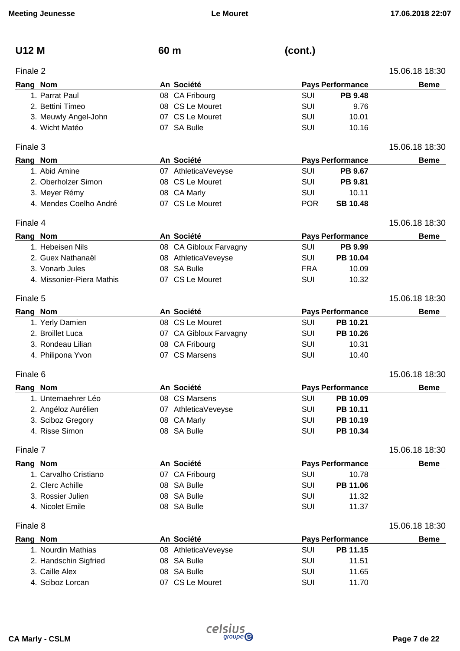| <b>U12 M</b> |                           | 60 m |                        | (cont.)    |                         |                |
|--------------|---------------------------|------|------------------------|------------|-------------------------|----------------|
| Finale 2     |                           |      |                        |            |                         | 15.06.18 18:30 |
| Rang Nom     |                           |      | An Société             |            | <b>Pays Performance</b> | <b>Beme</b>    |
|              | 1. Parrat Paul            |      | 08 CA Fribourg         | SUI        | <b>PB 9.48</b>          |                |
|              | 2. Bettini Timeo          |      | 08 CS Le Mouret        | SUI        | 9.76                    |                |
|              | 3. Meuwly Angel-John      |      | 07 CS Le Mouret        | SUI        | 10.01                   |                |
|              | 4. Wicht Matéo            |      | 07 SA Bulle            | SUI        | 10.16                   |                |
| Finale 3     |                           |      |                        |            |                         | 15.06.18 18:30 |
| Rang Nom     |                           |      | An Société             |            | <b>Pays Performance</b> | <b>Beme</b>    |
|              | 1. Abid Amine             |      | 07 AthleticaVeveyse    | SUI        | PB 9.67                 |                |
|              | 2. Oberholzer Simon       |      | 08 CS Le Mouret        | SUI        | PB 9.81                 |                |
|              | 3. Meyer Rémy             |      | 08 CA Marly            | SUI        | 10.11                   |                |
|              | 4. Mendes Coelho André    |      | 07 CS Le Mouret        | <b>POR</b> | <b>SB 10.48</b>         |                |
| Finale 4     |                           |      |                        |            |                         | 15.06.18 18:30 |
| Rang Nom     |                           |      | An Société             |            | <b>Pays Performance</b> | <b>Beme</b>    |
|              | 1. Hebeisen Nils          |      | 08 CA Gibloux Farvagny | SUI        | PB 9.99                 |                |
|              | 2. Guex Nathanaël         |      | 08 AthleticaVeveyse    | SUI        | PB 10.04                |                |
|              | 3. Vonarb Jules           |      | 08 SA Bulle            | <b>FRA</b> | 10.09                   |                |
|              | 4. Missonier-Piera Mathis |      | 07 CS Le Mouret        | SUI        | 10.32                   |                |
| Finale 5     |                           |      |                        |            |                         | 15.06.18 18:30 |
| Rang Nom     |                           |      | An Société             |            | <b>Pays Performance</b> | <b>Beme</b>    |
|              | 1. Yerly Damien           |      | 08 CS Le Mouret        | SUI        | PB 10.21                |                |
|              | 2. Broillet Luca          |      | 07 CA Gibloux Farvagny | <b>SUI</b> | PB 10.26                |                |
|              | 3. Rondeau Lilian         |      | 08 CA Fribourg         | SUI        | 10.31                   |                |
|              | 4. Philipona Yvon         |      | 07 CS Marsens          | SUI        | 10.40                   |                |
| Finale 6     |                           |      |                        |            |                         | 15.06.18 18:30 |
| Rang Nom     |                           |      | An Société             |            | <b>Pays Performance</b> | <b>Beme</b>    |
|              | 1. Unternaehrer Léo       |      | 08 CS Marsens          | SUI        | PB 10.09                |                |
|              | 2. Angéloz Aurélien       |      | 07 AthleticaVeveyse    | SUI        | PB 10.11                |                |
|              | 3. Sciboz Gregory         |      | 08 CA Marly            | SUI        | PB 10.19                |                |
|              | 4. Risse Simon            |      | 08 SA Bulle            | SUI        | PB 10.34                |                |
| Finale 7     |                           |      |                        |            |                         | 15.06.18 18:30 |
| Rang Nom     |                           |      | An Société             |            | <b>Pays Performance</b> | <b>Beme</b>    |
|              | 1. Carvalho Cristiano     |      | 07 CA Fribourg         | SUI        | 10.78                   |                |
|              | 2. Clerc Achille          |      | 08 SA Bulle            | SUI        | PB 11.06                |                |
|              | 3. Rossier Julien         |      | 08 SA Bulle            | <b>SUI</b> | 11.32                   |                |
|              | 4. Nicolet Emile          |      | 08 SA Bulle            | SUI        | 11.37                   |                |
| Finale 8     |                           |      |                        |            |                         | 15.06.18 18:30 |
| Rang Nom     |                           |      | An Société             |            | <b>Pays Performance</b> | <b>Beme</b>    |
|              | 1. Nourdin Mathias        |      | 08 AthleticaVeveyse    | SUI        | PB 11.15                |                |
|              | 2. Handschin Sigfried     |      | 08 SA Bulle            | SUI        | 11.51                   |                |
|              | 3. Caille Alex            |      | 08 SA Bulle            | SUI        | 11.65                   |                |
|              | 4. Sciboz Lorcan          |      | 07 CS Le Mouret        | SUI        | 11.70                   |                |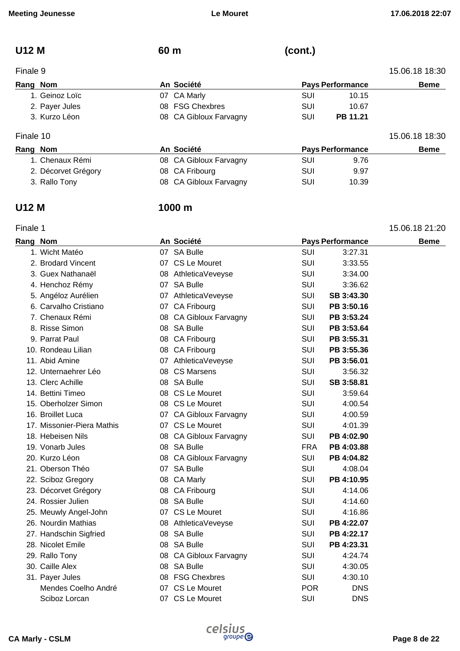| <b>U12 M</b> | 60 m | (cont.) |
|--------------|------|---------|
|              |      |         |

## Finale 9 15.06.18 18:30 **Rang Nom An Société Pays Performance Beme**  1. Geinoz Loïc **10.15 10.15 10.15 10.15 10.15** 2. Payer Jules **CONTER SUI 10.67** 08 FSG Chexbres **CONTER SUI** 10.67 3. Kurzo Léon 08 CA Gibloux Farvagny SUI **PB 11.21**

| Finale 10           |                        |                         |       | 15.06.18 18:30 |
|---------------------|------------------------|-------------------------|-------|----------------|
| Rang Nom            | An Société             | <b>Pays Performance</b> |       | <b>Beme</b>    |
| 1. Chenaux Rémi     | 08 CA Gibloux Farvagny | <b>SUI</b>              | 9.76  |                |
| 2. Décorvet Grégory | 08 CA Fribourg         | SUI                     | 9.97  |                |
| 3. Rallo Tony       | 08 CA Gibloux Farvagny | SUI                     | 10.39 |                |

### **U12 M 1000 m**

| Finale 1 |                            |                        |            |                         | 15.06.18 21:20 |
|----------|----------------------------|------------------------|------------|-------------------------|----------------|
| Rang Nom |                            | An Société             |            | <b>Pays Performance</b> | Beme           |
|          | 1. Wicht Matéo             | 07 SA Bulle            | <b>SUI</b> | 3:27.31                 |                |
|          | 2. Brodard Vincent         | 07 CS Le Mouret        | <b>SUI</b> | 3:33.55                 |                |
|          | 3. Guex Nathanaël          | 08 AthleticaVeveyse    | <b>SUI</b> | 3:34.00                 |                |
|          | 4. Henchoz Rémy            | 07 SA Bulle            | <b>SUI</b> | 3:36.62                 |                |
|          | 5. Angéloz Aurélien        | 07 AthleticaVeveyse    | SUI        | SB 3:43.30              |                |
|          | 6. Carvalho Cristiano      | 07 CA Fribourg         | <b>SUI</b> | PB 3:50.16              |                |
|          | 7. Chenaux Rémi            | 08 CA Gibloux Farvagny | <b>SUI</b> | PB 3:53.24              |                |
|          | 8. Risse Simon             | 08 SA Bulle            | <b>SUI</b> | PB 3:53.64              |                |
|          | 9. Parrat Paul             | 08 CA Fribourg         | <b>SUI</b> | PB 3:55.31              |                |
|          | 10. Rondeau Lilian         | 08 CA Fribourg         | <b>SUI</b> | PB 3:55.36              |                |
|          | 11. Abid Amine             | 07 AthleticaVeveyse    | <b>SUI</b> | PB 3:56.01              |                |
|          | 12. Unternaehrer Léo       | 08 CS Marsens          | <b>SUI</b> | 3:56.32                 |                |
|          | 13. Clerc Achille          | 08 SA Bulle            | <b>SUI</b> | SB 3:58.81              |                |
|          | 14. Bettini Timeo          | 08 CS Le Mouret        | <b>SUI</b> | 3:59.64                 |                |
|          | 15. Oberholzer Simon       | 08 CS Le Mouret        | <b>SUI</b> | 4:00.54                 |                |
|          | 16. Broillet Luca          | 07 CA Gibloux Farvagny | <b>SUI</b> | 4:00.59                 |                |
|          | 17. Missonier-Piera Mathis | 07 CS Le Mouret        | SUI        | 4:01.39                 |                |
|          | 18. Hebeisen Nils          | 08 CA Gibloux Farvagny | SUI        | PB 4:02.90              |                |
|          | 19. Vonarb Jules           | 08 SA Bulle            | <b>FRA</b> | PB 4:03.88              |                |
|          | 20. Kurzo Léon             | 08 CA Gibloux Farvagny | <b>SUI</b> | PB 4:04.82              |                |
|          | 21. Oberson Théo           | 07 SA Bulle            | <b>SUI</b> | 4:08.04                 |                |
|          | 22. Sciboz Gregory         | 08 CA Marly            | <b>SUI</b> | PB 4:10.95              |                |
|          | 23. Décorvet Grégory       | 08 CA Fribourg         | SUI        | 4:14.06                 |                |
|          | 24. Rossier Julien         | 08 SA Bulle            | <b>SUI</b> | 4:14.60                 |                |
|          | 25. Meuwly Angel-John      | 07 CS Le Mouret        | <b>SUI</b> | 4:16.86                 |                |
|          | 26. Nourdin Mathias        | 08 AthleticaVeveyse    | <b>SUI</b> | PB 4:22.07              |                |
|          | 27. Handschin Sigfried     | 08 SA Bulle            | <b>SUI</b> | PB 4:22.17              |                |
|          | 28. Nicolet Emile          | 08 SA Bulle            | <b>SUI</b> | PB 4:23.31              |                |
|          | 29. Rallo Tony             | 08 CA Gibloux Farvagny | SUI        | 4:24.74                 |                |
|          | 30. Caille Alex            | 08 SA Bulle            | <b>SUI</b> | 4:30.05                 |                |
|          | 31. Payer Jules            | 08 FSG Chexbres        | <b>SUI</b> | 4:30.10                 |                |
|          | Mendes Coelho André        | 07 CS Le Mouret        | <b>POR</b> | <b>DNS</b>              |                |
|          | Sciboz Lorcan              | 07 CS Le Mouret        | SUI        | <b>DNS</b>              |                |

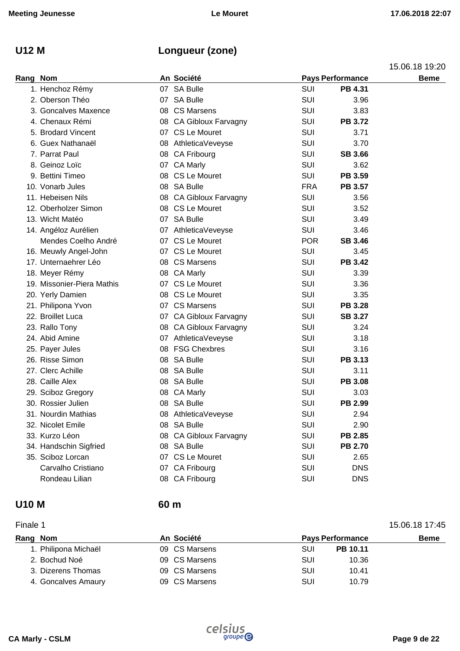## **U12 M Longueur (zone)**

15.06.18 19:20

| Rang Nom |                            | An Société             |            | Pays Performance | <b>Beme</b> |
|----------|----------------------------|------------------------|------------|------------------|-------------|
|          | 1. Henchoz Rémy            | 07 SA Bulle            | <b>SUI</b> | PB 4.31          |             |
|          | 2. Oberson Théo            | 07 SA Bulle            | SUI        | 3.96             |             |
|          | 3. Goncalves Maxence       | 08 CS Marsens          | SUI        | 3.83             |             |
|          | 4. Chenaux Rémi            | 08 CA Gibloux Farvagny | SUI        | <b>PB 3.72</b>   |             |
|          | 5. Brodard Vincent         | 07 CS Le Mouret        | SUI        | 3.71             |             |
|          | 6. Guex Nathanaël          | 08 AthleticaVeveyse    | <b>SUI</b> | 3.70             |             |
|          | 7. Parrat Paul             | 08 CA Fribourg         | SUI        | <b>SB 3.66</b>   |             |
|          | 8. Geinoz Loïc             | 07 CA Marly            | <b>SUI</b> | 3.62             |             |
|          | 9. Bettini Timeo           | 08 CS Le Mouret        | <b>SUI</b> | PB 3.59          |             |
|          | 10. Vonarb Jules           | 08 SA Bulle            | <b>FRA</b> | PB 3.57          |             |
|          | 11. Hebeisen Nils          | 08 CA Gibloux Farvagny | <b>SUI</b> | 3.56             |             |
|          | 12. Oberholzer Simon       | 08 CS Le Mouret        | <b>SUI</b> | 3.52             |             |
|          | 13. Wicht Matéo            | 07 SA Bulle            | SUI        | 3.49             |             |
|          | 14. Angéloz Aurélien       | 07 AthleticaVeveyse    | <b>SUI</b> | 3.46             |             |
|          | Mendes Coelho André        | 07 CS Le Mouret        | <b>POR</b> | <b>SB 3.46</b>   |             |
|          | 16. Meuwly Angel-John      | 07 CS Le Mouret        | SUI        | 3.45             |             |
|          | 17. Unternaehrer Léo       | 08 CS Marsens          | <b>SUI</b> | <b>PB 3.42</b>   |             |
|          | 18. Meyer Rémy             | 08 CA Marly            | SUI        | 3.39             |             |
|          | 19. Missonier-Piera Mathis | 07 CS Le Mouret        | SUI        | 3.36             |             |
|          | 20. Yerly Damien           | 08 CS Le Mouret        | SUI        | 3.35             |             |
|          | 21. Philipona Yvon         | 07 CS Marsens          | SUI        | PB 3.28          |             |
|          | 22. Broillet Luca          | 07 CA Gibloux Farvagny | <b>SUI</b> | <b>SB 3.27</b>   |             |
|          | 23. Rallo Tony             | 08 CA Gibloux Farvagny | <b>SUI</b> | 3.24             |             |
|          | 24. Abid Amine             | 07 AthleticaVeveyse    | <b>SUI</b> | 3.18             |             |
|          | 25. Payer Jules            | 08 FSG Chexbres        | SUI        | 3.16             |             |
|          | 26. Risse Simon            | 08 SA Bulle            | <b>SUI</b> | PB 3.13          |             |
|          | 27. Clerc Achille          | 08 SA Bulle            | <b>SUI</b> | 3.11             |             |
|          | 28. Caille Alex            | 08 SA Bulle            | SUI        | <b>PB 3.08</b>   |             |
|          | 29. Sciboz Gregory         | 08 CA Marly            | <b>SUI</b> | 3.03             |             |
|          | 30. Rossier Julien         | 08 SA Bulle            | <b>SUI</b> | PB 2.99          |             |
|          | 31. Nourdin Mathias        | 08 AthleticaVeveyse    | SUI        | 2.94             |             |
|          | 32. Nicolet Emile          | 08 SA Bulle            | SUI        | 2.90             |             |
|          | 33. Kurzo Léon             | 08 CA Gibloux Farvagny | <b>SUI</b> | PB 2.85          |             |
|          | 34. Handschin Sigfried     | 08 SA Bulle            | SUI        | <b>PB 2.70</b>   |             |
|          | 35. Sciboz Lorcan          | 07 CS Le Mouret        | <b>SUI</b> | 2.65             |             |
|          | Carvalho Cristiano         | 07 CA Fribourg         | <b>SUI</b> | <b>DNS</b>       |             |
|          | Rondeau Lilian             | 08 CA Fribourg         | SUI        | <b>DNS</b>       |             |
|          |                            |                        |            |                  |             |

## **U10 M 60 m**

Finale 1 15.06.18 17:45 **Rang Nom An Société Pays Performance Beme**  1. Philipona Michaël 09 CS Marsens SUI **PB 10.11** 2. Bochud Noé 09 CS Marsens SUI 10.36 3. Dizerens Thomas **09 CS Marsens** SUI 50.41 4. Goncalves Amaury **09 CS Marsens COMARGISTS** CONSULTED 10.79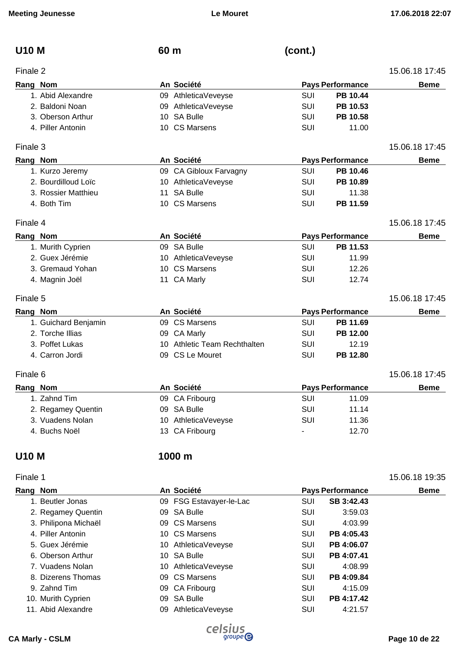| <b>U10 M</b> |                      | 60 m |                              | (cont.)    |                         |                |
|--------------|----------------------|------|------------------------------|------------|-------------------------|----------------|
| Finale 2     |                      |      |                              |            |                         | 15.06.18 17:45 |
|              | Rang Nom             |      | An Société                   |            | <b>Pays Performance</b> | <b>Beme</b>    |
|              | 1. Abid Alexandre    |      | 09 AthleticaVeveyse          | SUI        | PB 10.44                |                |
|              | 2. Baldoni Noan      |      | 09 AthleticaVeveyse          | <b>SUI</b> | PB 10.53                |                |
|              | 3. Oberson Arthur    |      | 10 SA Bulle                  | SUI        | PB 10.58                |                |
|              | 4. Piller Antonin    |      | 10 CS Marsens                | SUI        | 11.00                   |                |
| Finale 3     |                      |      |                              |            |                         | 15.06.18 17:45 |
|              | Rang Nom             |      | An Société                   |            | <b>Pays Performance</b> | <b>Beme</b>    |
|              | 1. Kurzo Jeremy      |      | 09 CA Gibloux Farvagny       | SUI        | PB 10.46                |                |
|              | 2. Bourdilloud Loïc  |      | 10 AthleticaVeveyse          | <b>SUI</b> | PB 10.89                |                |
|              | 3. Rossier Matthieu  |      | 11 SA Bulle                  | <b>SUI</b> | 11.38                   |                |
|              | 4. Both Tim          |      | 10 CS Marsens                | <b>SUI</b> | PB 11.59                |                |
| Finale 4     |                      |      |                              |            |                         | 15.06.18 17:45 |
|              | Rang Nom             |      | An Société                   |            | <b>Pays Performance</b> | <b>Beme</b>    |
|              | 1. Murith Cyprien    |      | 09 SA Bulle                  | SUI        | PB 11.53                |                |
|              | 2. Guex Jérémie      |      | 10 AthleticaVeveyse          | SUI        | 11.99                   |                |
|              | 3. Gremaud Yohan     |      | 10 CS Marsens                | <b>SUI</b> | 12.26                   |                |
|              | 4. Magnin Joël       |      | 11 CA Marly                  | SUI        | 12.74                   |                |
| Finale 5     |                      |      |                              |            |                         | 15.06.18 17:45 |
|              | Rang Nom             |      | An Société                   |            | <b>Pays Performance</b> | <b>Beme</b>    |
|              | 1. Guichard Benjamin |      | 09 CS Marsens                | SUI        | PB 11.69                |                |
|              | 2. Torche Illias     |      | 09 CA Marly                  | SUI        | PB 12.00                |                |
|              | 3. Poffet Lukas      |      | 10 Athletic Team Rechthalten | SUI        | 12.19                   |                |
|              | 4. Carron Jordi      |      | 09 CS Le Mouret              | SUI        | PB 12.80                |                |
| Finale 6     |                      |      |                              |            |                         | 15.06.18 17:45 |
|              | Rang Nom             |      | An Société                   |            | <b>Pays Performance</b> | <b>Beme</b>    |
|              | 1. Zahnd Tim         |      | 09 CA Fribourg               | SUI        | 11.09                   |                |
|              | 2. Regamey Quentin   |      | 09 SA Bulle                  | <b>SUI</b> | 11.14                   |                |
|              | 3. Vuadens Nolan     |      | 10 AthleticaVeveyse          | <b>SUI</b> | 11.36                   |                |
|              | 4. Buchs Noël        |      | 13 CA Fribourg               |            | 12.70                   |                |
| <b>U10 M</b> |                      |      | 1000 m                       |            |                         |                |
| Finale 1     |                      |      |                              |            |                         | 15.06.18 19:35 |
|              | Rang Nom             |      | An Société                   |            | <b>Pays Performance</b> | <b>Beme</b>    |
|              | 1. Beutler Jonas     |      | 09 FSG Estavayer-le-Lac      | SUI        | SB 3:42.43              |                |
|              | 2. Regamey Quentin   |      | 09 SA Bulle                  | SUI        | 3:59.03                 |                |
|              | 3. Philipona Michaël |      | 09 CS Marsens                | <b>SUI</b> | 4:03.99                 |                |
|              | 4. Piller Antonin    |      | 10 CS Marsens                | <b>SUI</b> | PB 4:05.43              |                |
|              | 5. Guex Jérémie      |      | 10 AthleticaVeveyse          | SUI        | PB 4:06.07              |                |
|              | 6. Oberson Arthur    |      | 10 SA Bulle                  | SUI        | PB 4:07.41              |                |

7. Vuadens Nolan 10 AthleticaVeveyse SUI 4:08.99 8. Dizerens Thomas **09 CS Marsens COMARGISTS** SUI **PB 4:09.84** 

9. Zahnd Tim **09 CA Fribourg CA Fribourg** SUI 4:15.09

- 10. Murith Cyprien **10. Murith Cyprien 10. Murith Cyprien 10. SUI PB 4:17.42**
- 11. Abid Alexandre **11. Abid Alexandre 11. Abid Alexandre** 11. Abid 4:21.57
- **CA Marly CSLM Page 10 de 22**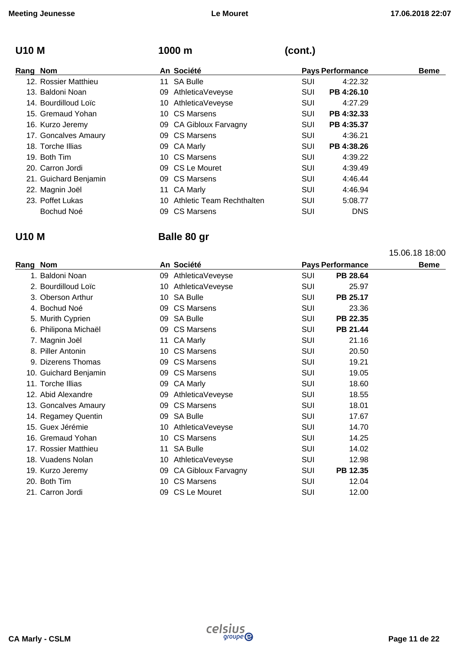15.06.18 18:00

## **U10 M 1000 m (cont.)**

| Rang Nom              | An Société                   | <b>Pays Performance</b>  | <b>Beme</b> |
|-----------------------|------------------------------|--------------------------|-------------|
| 12. Rossier Matthieu  | 11 SA Bulle                  | SUI<br>4:22.32           |             |
| 13. Baldoni Noan      | 09 AthleticaVeveyse          | PB 4:26.10<br><b>SUI</b> |             |
| 14. Bourdilloud Loïc  | 10 AthleticaVeveyse          | 4:27.29<br><b>SUI</b>    |             |
| 15. Gremaud Yohan     | 10 CS Marsens                | PB 4:32.33<br><b>SUI</b> |             |
| 16. Kurzo Jeremy      | 09 CA Gibloux Farvagny       | PB 4:35.37<br><b>SUI</b> |             |
| 17. Goncalves Amaury  | 09 CS Marsens                | <b>SUI</b><br>4:36.21    |             |
| 18. Torche Illias     | 09 CA Marly                  | PB 4:38.26<br>SUI        |             |
| 19. Both Tim          | 10 CS Marsens                | SUI<br>4:39.22           |             |
| 20. Carron Jordi      | 09 CS Le Mouret              | SUI<br>4:39.49           |             |
| 21. Guichard Benjamin | 09 CS Marsens                | SUI<br>4:46.44           |             |
| 22. Magnin Joël       | 11 CA Marly                  | SUI<br>4:46.94           |             |
| 23. Poffet Lukas      | 10 Athletic Team Rechthalten | <b>SUI</b><br>5:08.77    |             |
| Bochud Noé            | 09 CS Marsens                | SUI<br><b>DNS</b>        |             |

## **U10 M Balle 80 gr**

**Rang Nom An Société Pays Performance Beme**  1. Baldoni Noan 09 AthleticaVeveyse SUI **PB 28.64** 2. Bourdilloud Loïc 10 AthleticaVeveyse SUI 25.97 3. Oberson Arthur **10 SA Bulle Suite SUI PB 25.17** 4. Bochud Noé 09 CS Marsens SUI 23.36 5. Murith Cyprien **Canadian Company of SA Bulle** SUI **PB 22.35** 6. Philipona Michaël 09 CS Marsens SUI **PB 21.44** 7. Magnin Joël 11 CA Marly SUI 21.16 8. Piller Antonin **10 CS Marsens** SUI 20.50 9. Dizerens Thomas **09 CS Marsens** SUI 19.21 10. Guichard Benjamin 09 CS Marsens SUI 19.05 11. Torche Illias **18.60 18.60 18.60 18.60 18.60 18.60** 12. Abid Alexandre 09 AthleticaVeveyse SUI 18.55 13. Goncalves Amaury **09 CS Marsens** 199 CS Marsens 18.01 14. Regamey Quentin **17.67 19. In the U.S. A. Bulle 17.67 SUI** 17.67 15. Guex Jérémie 10 AthleticaVeveyse SUI 14.70 16. Gremaud Yohan 10 CS Marsens 10 CS Marsens SUI 14.25 17. Rossier Matthieu **11 SA Bulle 11 SA Bulle** SUI 14.02 18. Vuadens Nolan 10 AthleticaVeveyse SUI 12.98 19. Kurzo Jeremy 09 CA Gibloux Farvagny SUI **PB 12.35** 20. Both Tim 12.04 **10 CS Marsens** SUI 12.04 21. Carron Jordi 09 CS Le Mouret SUI 12.00

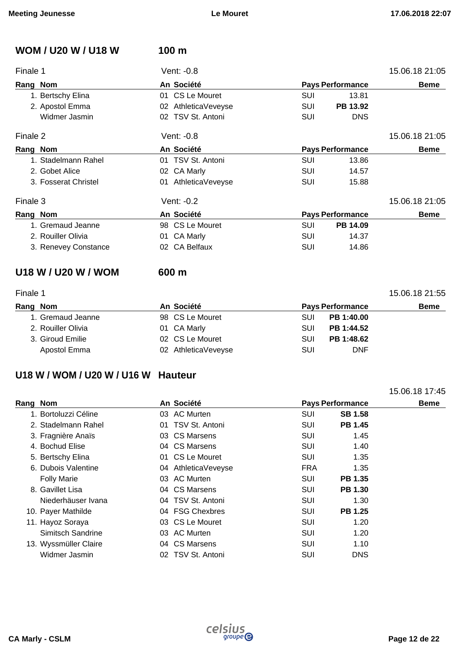| <b>WOM / U20 W / U18 W</b> | 100 m               |            |                         |                |
|----------------------------|---------------------|------------|-------------------------|----------------|
| Finale 1                   | Vent: -0.8          |            |                         | 15.06.18 21:05 |
| Rang Nom                   | An Société          |            | <b>Pays Performance</b> | <b>Beme</b>    |
| 1. Bertschy Elina          | 01 CS Le Mouret     | <b>SUI</b> | 13.81                   |                |
| 2. Apostol Emma            | 02 AthleticaVeveyse | <b>SUI</b> | PB 13.92                |                |
| Widmer Jasmin              | 02 TSV St. Antoni   | SUI        | <b>DNS</b>              |                |
| Finale 2                   | Vent: -0.8          |            |                         | 15.06.18 21:05 |
| Rang Nom                   | An Société          |            | <b>Pays Performance</b> | <b>Beme</b>    |
| 1. Stadelmann Rahel        | 01 TSV St. Antoni   | SUI        | 13.86                   |                |
| 2. Gobet Alice             | 02 CA Marly         | <b>SUI</b> | 14.57                   |                |
| 3. Fosserat Christel       | 01 AthleticaVeveyse | SUI        | 15.88                   |                |
| Finale 3                   | Vent: -0.2          |            |                         | 15.06.18 21:05 |
| Rang Nom                   | An Société          |            | <b>Pays Performance</b> | <b>Beme</b>    |
| 1. Gremaud Jeanne          | 98 CS Le Mouret     | <b>SUI</b> | PB 14.09                |                |
| 2. Rouiller Olivia         | 01 CA Marly         | SUI        | 14.37                   |                |
| 3. Renevey Constance       | 02 CA Belfaux       | <b>SUI</b> | 14.86                   |                |
| U18 W / U20 W / WOM        | 600 m               |            |                         |                |
| Finale 1                   |                     |            |                         | 15.06.18 21:55 |
| Rang Nom                   | An Société          |            | <b>Pays Performance</b> | <b>Beme</b>    |
| 1. Gremaud Jeanne          | 98 CS Le Mouret     | SUI        | PB 1:40.00              |                |

| T. Glemaud Jeanne  | 90 CO LE MOUTEL     | <b>JUL</b> | <b>PD 1.40.00</b> |
|--------------------|---------------------|------------|-------------------|
| 2. Rouiller Olivia | 01 CA Marly         | SUI.       | PB 1:44.52        |
| 3. Giroud Emilie   | 02 CS Le Mouret     | SUI.       | PB 1:48.62        |
| Apostol Emma       | 02 AthleticaVeveyse | SUI        | DNF               |

## **U18 W / WOM / U20 W / U16 W Hauteur**

|                       |    |                     |                         | 15.06.18 17:45 |
|-----------------------|----|---------------------|-------------------------|----------------|
| Rang Nom              |    | An Société          | <b>Pays Performance</b> | <b>Beme</b>    |
| 1. Bortoluzzi Céline  |    | 03 AC Murten        | <b>SUI</b>              | <b>SB 1.58</b> |
| 2. Stadelmann Rahel   | 01 | TSV St. Antoni      | <b>SUI</b>              | <b>PB 1.45</b> |
| 3. Fragnière Anaïs    |    | 03 CS Marsens       | SUI                     | 1.45           |
| 4. Bochud Elise       |    | 04 CS Marsens       | <b>SUI</b>              | 1.40           |
| 5. Bertschy Elina     |    | 01 CS Le Mouret     | SUI                     | 1.35           |
| 6. Dubois Valentine   |    | 04 AthleticaVeveyse | <b>FRA</b>              | 1.35           |
| <b>Folly Marie</b>    |    | 03 AC Murten        | <b>SUI</b>              | <b>PB 1.35</b> |
| 8. Gavillet Lisa      |    | 04 CS Marsens       | <b>SUI</b>              | <b>PB 1.30</b> |
| Niederhäuser Ivana    |    | 04 TSV St. Antoni   | <b>SUI</b>              | 1.30           |
| 10. Payer Mathilde    |    | 04 FSG Chexbres     | SUI                     | <b>PB 1.25</b> |
| 11. Hayoz Soraya      |    | 03 CS Le Mouret     | <b>SUI</b>              | 1.20           |
| Simitsch Sandrine     |    | 03 AC Murten        | SUI                     | 1.20           |
| 13. Wyssmüller Claire |    | 04 CS Marsens       | SUI                     | 1.10           |
| Widmer Jasmin         |    | 02 TSV St. Antoni   | SUI                     | <b>DNS</b>     |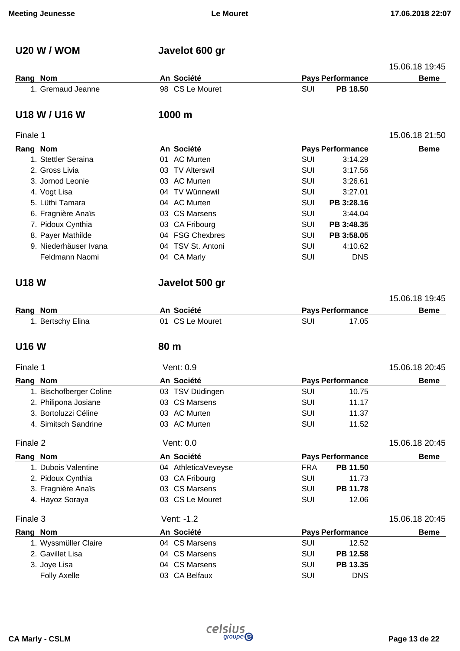## **U20 W / WOM Javelot 600 gr**

|          |                   |                 |     |                         | 15.06.18 19:45 |
|----------|-------------------|-----------------|-----|-------------------------|----------------|
| Rang Nom |                   | An Société      |     | <b>Pays Performance</b> | <b>Beme</b>    |
|          | 1. Gremaud Jeanne | 98 CS Le Mouret | SUI | <b>PB 18.50</b>         |                |

### **U18 W / U16 W 1000 m**

### Finale 1 15.06.18 21:50

| Rang Nom              | An Société        |            | <b>Pays Performance</b> | <b>Beme</b> |
|-----------------------|-------------------|------------|-------------------------|-------------|
| 1. Stettler Seraina   | 01 AC Murten      | SUI        | 3:14.29                 |             |
| 2. Gross Livia        | 03 TV Alterswil   | SUI        | 3:17.56                 |             |
| 3. Jornod Leonie      | 03 AC Murten      | SUI        | 3:26.61                 |             |
| 4. Vogt Lisa          | 04 TV Wünnewil    | SUI        | 3:27.01                 |             |
| 5. Lüthi Tamara       | 04 AC Murten      | SUI        | PB 3:28.16              |             |
| 6. Fragnière Anaïs    | 03 CS Marsens     | SUI        | 3:44.04                 |             |
| 7. Pidoux Cynthia     | 03 CA Fribourg    | SUI        | PB 3:48.35              |             |
| 8. Payer Mathilde     | 04 FSG Chexbres   | SUI        | PB 3:58.05              |             |
| 9. Niederhäuser Ivana | 04 TSV St. Antoni | <b>SUI</b> | 4:10.62                 |             |
| Feldmann Naomi        | 04 CA Marly       | SUI        | <b>DNS</b>              |             |

## **U18 W Javelot 500 gr**

|                   |                 |                         | 15.06.18 19:45 |
|-------------------|-----------------|-------------------------|----------------|
| Rang Nom          | An Société      | <b>Pays Performance</b> | <b>Beme</b>    |
| 1. Bertschy Elina | 01 CS Le Mouret | SUI<br>17.05            |                |

## **U16 W 80 m**

| Finale 1                | Vent: 0.9           |            |                         | 15.06.18 20:45 |
|-------------------------|---------------------|------------|-------------------------|----------------|
| Rang Nom                | An Société          |            | <b>Pays Performance</b> | <b>Beme</b>    |
| 1. Bischofberger Coline | 03 TSV Düdingen     | <b>SUI</b> | 10.75                   |                |
| 2. Philipona Josiane    | 03 CS Marsens       | SUI        | 11.17                   |                |
| 3. Bortoluzzi Céline    | 03 AC Murten        | SUI        | 11.37                   |                |
| 4. Simitsch Sandrine    | 03 AC Murten        | <b>SUI</b> | 11.52                   |                |
| Finale 2                | Vent: 0.0           |            |                         | 15.06.18 20:45 |
| Rang Nom                | An Société          |            | <b>Pays Performance</b> | <b>Beme</b>    |
| 1. Dubois Valentine     | 04 AthleticaVeveyse | <b>FRA</b> | PB 11.50                |                |
| 2. Pidoux Cynthia       | 03 CA Fribourg      | SUI        | 11.73                   |                |
| 3. Fragnière Anaïs      | 03 CS Marsens       | <b>SUI</b> | PB 11.78                |                |
| 4. Hayoz Soraya         | 03 CS Le Mouret     | <b>SUI</b> | 12.06                   |                |
| Finale 3                | Vent: -1.2          |            |                         | 15.06.18 20:45 |
| Rang Nom                | An Société          |            | <b>Pays Performance</b> | <b>Beme</b>    |
| 1. Wyssmüller Claire    | 04 CS Marsens       | <b>SUI</b> | 12.52                   |                |
| 2. Gavillet Lisa        | 04 CS Marsens       | <b>SUI</b> | PB 12.58                |                |
| 3. Joye Lisa            | 04 CS Marsens       | <b>SUI</b> | PB 13.35                |                |
| <b>Folly Axelle</b>     | 03 CA Belfaux       | <b>SUI</b> | <b>DNS</b>              |                |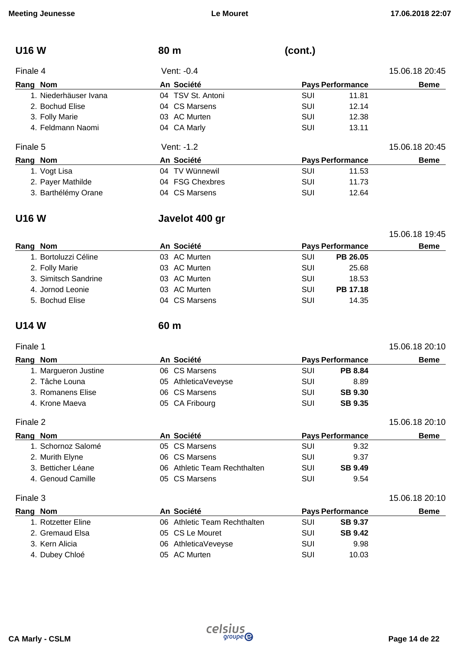| <b>U16W</b>           | 80 m              | (cont.)                 |                |
|-----------------------|-------------------|-------------------------|----------------|
| Finale 4              | Vent: -0.4        |                         | 15.06.18 20:45 |
| Rang Nom              | An Société        | <b>Pays Performance</b> | <b>Beme</b>    |
| 1. Niederhäuser Ivana | 04 TSV St. Antoni | SUI<br>11.81            |                |
| 2. Bochud Elise       | 04 CS Marsens     | SUI<br>12.14            |                |
| 3. Folly Marie        | 03 AC Murten      | SUI<br>12.38            |                |
| 4. Feldmann Naomi     | 04 CA Marly       | SUI<br>13.11            |                |
| Finale 5              | Vent: -1.2        |                         | 15.06.18 20:45 |
| Rang Nom              | An Société        | <b>Pays Performance</b> | <b>Beme</b>    |
| 1. Vogt Lisa          | 04 TV Wünnewil    | SUI<br>11.53            |                |
| 2. Payer Mathilde     | 04 FSG Chexbres   | SUI<br>11.73            |                |
| 3. Barthélémy Orane   | 04 CS Marsens     | SUI<br>12.64            |                |

## **U16 W Javelot 400 gr**

|                      |               |                         |                 | 15.06.18 19:45 |
|----------------------|---------------|-------------------------|-----------------|----------------|
| Rang Nom             | An Société    | <b>Pays Performance</b> | <b>Beme</b>     |                |
| 1. Bortoluzzi Céline | 03 AC Murten  | SUI                     | PB 26.05        |                |
| 2. Folly Marie       | 03 AC Murten  | SUI                     | 25.68           |                |
| 3. Simitsch Sandrine | 03 AC Murten  | SUI                     | 18.53           |                |
| 4. Jornod Leonie     | 03 AC Murten  | SUI                     | <b>PB 17.18</b> |                |
| 5. Bochud Elise      | 04 CS Marsens | SUI                     | 14.35           |                |
|                      |               |                         |                 |                |

## **U14 W 60 m**

### Finale 1 15.06.18 20:10

| Rang Nom             | An Société          |            | <b>Pays Performance</b> | <b>Beme</b> |
|----------------------|---------------------|------------|-------------------------|-------------|
| 1. Margueron Justine | 06 CS Marsens       | SUI        | <b>PB 8.84</b>          |             |
| 2. Tâche Louna       | 05 AthleticaVeveyse | SUI        | 8.89                    |             |
| 3. Romanens Elise    | 06 CS Marsens       | SUI        | <b>SB 9.30</b>          |             |
| 4. Krone Maeva       | 05 CA Fribourg      | <b>SUI</b> | <b>SB 9.35</b>          |             |

Finale 2 15.06.18 20:10

| Rang Nom           | An Société                   | <b>Pays Performance</b> |                | <b>Beme</b> |
|--------------------|------------------------------|-------------------------|----------------|-------------|
| 1. Schornoz Salomé | 05 CS Marsens                | SUI                     | 9.32           |             |
| 2. Murith Elyne    | 06 CS Marsens                | SUI                     | 9.37           |             |
| 3. Betticher Léane | 06 Athletic Team Rechthalten | SUI                     | <b>SB 9.49</b> |             |
| 4. Genoud Camille  | 05 CS Marsens                | SUI                     | 9.54           |             |

### Finale 3 15.06.18 20:10

| Rang Nom |                    | An Société                   | <b>Pays Performance</b> |                | <b>Beme</b> |
|----------|--------------------|------------------------------|-------------------------|----------------|-------------|
|          | 1. Rotzetter Eline | 06 Athletic Team Rechthalten | <b>SUI</b>              | <b>SB 9.37</b> |             |
|          | 2. Gremaud Elsa    | 05 CS Le Mouret              | <b>SUI</b>              | <b>SB 9.42</b> |             |
|          | 3. Kern Alicia     | 06 AthleticaVeveyse          | SUI                     | 9.98           |             |
|          | 4. Dubey Chloé     | 05 AC Murten                 | SUI                     | 10.03          |             |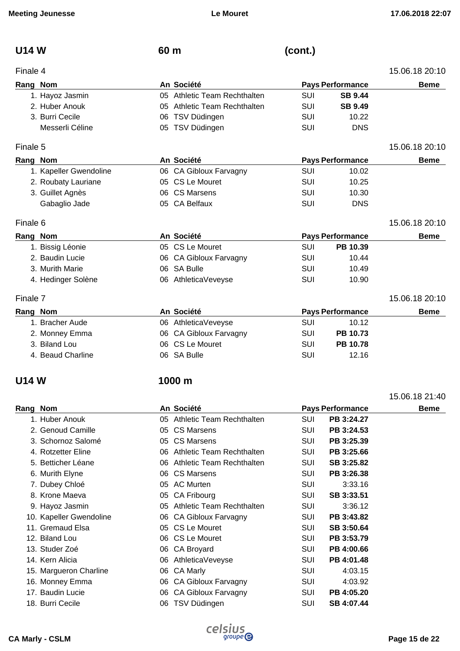| <b>U14 W</b> | 60 m | (cont.) |
|--------------|------|---------|
|              |      |         |

| Finale 4                     |     |                         |  |  |  |
|------------------------------|-----|-------------------------|--|--|--|
| An Société                   |     | <b>Pays Performance</b> |  |  |  |
| 05 Athletic Team Rechthalten | SUI | <b>SB 9.44</b>          |  |  |  |
| 05 Athletic Team Rechthalten | SUI | <b>SB 9.49</b>          |  |  |  |
| 06 TSV Düdingen              | SUI | 10.22                   |  |  |  |
| 05 TSV Düdingen              | SUI | <b>DNS</b>              |  |  |  |
|                              |     |                         |  |  |  |

### Finale 5 15.06.18 20:10

| Rang Nom |                        | An Société             | <b>Pays Performance</b> |            | Beme |
|----------|------------------------|------------------------|-------------------------|------------|------|
|          | 1. Kapeller Gwendoline | 06 CA Gibloux Farvagny | SUI                     | 10.02      |      |
|          | 2. Roubaty Lauriane    | 05 CS Le Mouret        | SUI                     | 10.25      |      |
|          | 3. Guillet Agnès       | 06 CS Marsens          | SUI                     | 10.30      |      |
|          | Gabaglio Jade          | 05 CA Belfaux          | SUI                     | <b>DNS</b> |      |

### Finale 6 15.06.18 20:10

| Rang Nom           | An Société             | <b>Pays Performance</b> | <b>Beme</b> |                |
|--------------------|------------------------|-------------------------|-------------|----------------|
| 1. Bissig Léonie   | 05 CS Le Mouret        | SUI                     | PB 10.39    |                |
| 2. Baudin Lucie    | 06 CA Gibloux Farvagny | SUI                     | 10.44       |                |
| 3. Murith Marie    | 06 SA Bulle            | SUI                     | 10.49       |                |
| 4. Hedinger Solène | 06 AthleticaVeveyse    | SUI                     | 10.90       |                |
| Finale 7           |                        |                         |             | 15.06.18 20:10 |

| Rang Nom |                   | An Société             |     | <b>Pays Performance</b> | <b>Beme</b> |
|----------|-------------------|------------------------|-----|-------------------------|-------------|
|          | . Bracher Aude    | 06 AthleticaVeveyse    | SUI | 10.12                   |             |
|          | 2. Monney Emma    | 06 CA Gibloux Farvagny | SUI | PB 10.73                |             |
|          | 3. Biland Lou     | 06 CS Le Mouret        | SUI | <b>PB 10.78</b>         |             |
|          | 4. Beaud Charline | 06 SA Bulle            | SUI | 12.16                   |             |

## **U14 W 1000 m**

|          |                         |     |                              |            |                         | 15.06.18 21:40 |
|----------|-------------------------|-----|------------------------------|------------|-------------------------|----------------|
| Rang Nom |                         |     | An Société                   |            | <b>Pays Performance</b> | <b>Beme</b>    |
|          | 1. Huber Anouk          |     | 05 Athletic Team Rechthalten | SUI        | PB 3:24.27              |                |
|          | 2. Genoud Camille       |     | 05 CS Marsens                | <b>SUI</b> | PB 3:24.53              |                |
|          | 3. Schornoz Salomé      |     | 05 CS Marsens                | SUI        | PB 3:25.39              |                |
|          | 4. Rotzetter Eline      |     | 06 Athletic Team Rechthalten | SUI        | PB 3:25.66              |                |
|          | 5. Betticher Léane      |     | 06 Athletic Team Rechthalten | SUI        | SB 3:25.82              |                |
|          | 6. Murith Elyne         | 06. | <b>CS Marsens</b>            | SUI        | PB 3:26.38              |                |
|          | 7. Dubey Chloé          |     | 05 AC Murten                 | SUI        | 3:33.16                 |                |
|          | 8. Krone Maeva          | 05  | CA Fribourg                  | SUI        | SB 3:33.51              |                |
|          | 9. Hayoz Jasmin         | 05. | Athletic Team Rechthalten    | SUI        | 3:36.12                 |                |
|          | 10. Kapeller Gwendoline |     | 06 CA Gibloux Farvagny       | SUI        | PB 3:43.82              |                |
|          | 11. Gremaud Elsa        |     | 05 CS Le Mouret              | SUI        | SB 3:50.64              |                |
|          | 12. Biland Lou          |     | 06 CS Le Mouret              | SUI        | PB 3:53.79              |                |
|          | 13. Studer Zoé          | 06. | <b>CA Broyard</b>            | SUI        | PB 4:00.66              |                |
|          | 14. Kern Alicia         | 06. | AthleticaVeveyse             | SUI        | PB 4:01.48              |                |
|          | 15. Margueron Charline  | 06  | CA Marly                     | SUI        | 4:03.15                 |                |
|          | 16. Monney Emma         | 06. | <b>CA Gibloux Farvagny</b>   | SUI        | 4:03.92                 |                |
|          | 17. Baudin Lucie        | 06  | <b>CA Gibloux Farvagny</b>   | SUI        | PB 4:05.20              |                |
|          | 18. Burri Cecile        | 06  | TSV Düdingen                 | SUI        | SB 4:07.44              |                |

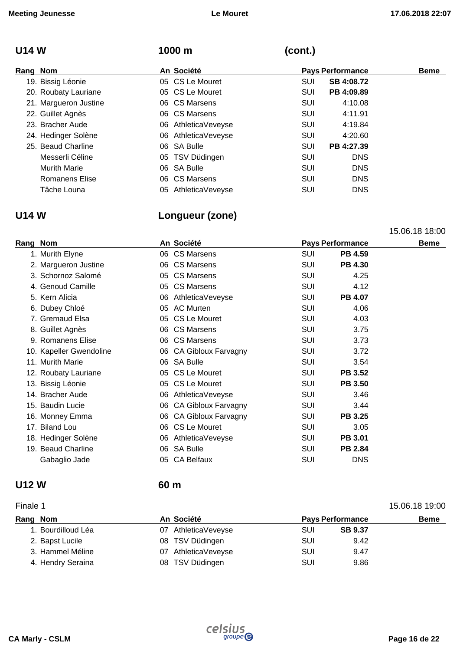## **U14 W 1000 m (cont.)**

| Rang Nom |                       | An Société          |            | <b>Pays Performance</b> | <b>Beme</b> |
|----------|-----------------------|---------------------|------------|-------------------------|-------------|
|          | 19. Bissig Léonie     | 05 CS Le Mouret     | SUI        | SB 4:08.72              |             |
|          | 20. Roubaty Lauriane  | 05 CS Le Mouret     | SUI        | PB 4:09.89              |             |
|          | 21. Margueron Justine | 06 CS Marsens       | SUI        | 4:10.08                 |             |
|          | 22. Guillet Agnès     | 06 CS Marsens       | SUI        | 4:11.91                 |             |
|          | 23. Bracher Aude      | 06 AthleticaVeveyse | <b>SUI</b> | 4:19.84                 |             |
|          | 24. Hedinger Solène   | 06 AthleticaVeveyse | SUI        | 4:20.60                 |             |
|          | 25. Beaud Charline    | 06 SA Bulle         | SUI        | PB 4:27.39              |             |
|          | Messerli Céline       | 05 TSV Düdingen     | SUI        | <b>DNS</b>              |             |
|          | <b>Murith Marie</b>   | 06 SA Bulle         | SUI        | <b>DNS</b>              |             |
|          | Romanens Elise        | 06 CS Marsens       | SUI        | <b>DNS</b>              |             |
|          | Tâche Louna           | 05 AthleticaVeveyse | SUI        | <b>DNS</b>              |             |

## **U14 W Longueur (zone)**

|                         |    |                        |                         |                | 15.06.18 18:00 |
|-------------------------|----|------------------------|-------------------------|----------------|----------------|
| Rang Nom                |    | An Société             | <b>Pays Performance</b> |                | <b>Beme</b>    |
| 1. Murith Elyne         |    | 06 CS Marsens          | <b>SUI</b>              | PB 4.59        |                |
| 2. Margueron Justine    |    | 06 CS Marsens          | SUI                     | <b>PB 4.30</b> |                |
| 3. Schornoz Salomé      |    | 05 CS Marsens          | SUI                     | 4.25           |                |
| 4. Genoud Camille       |    | 05 CS Marsens          | <b>SUI</b>              | 4.12           |                |
| 5. Kern Alicia          |    | 06 AthleticaVeveyse    | <b>SUI</b>              | <b>PB 4.07</b> |                |
| 6. Dubey Chloé          |    | 05 AC Murten           | <b>SUI</b>              | 4.06           |                |
| 7. Gremaud Elsa         |    | 05 CS Le Mouret        | <b>SUI</b>              | 4.03           |                |
| 8. Guillet Agnès        |    | 06 CS Marsens          | SUI                     | 3.75           |                |
| 9. Romanens Elise       |    | 06 CS Marsens          | <b>SUI</b>              | 3.73           |                |
| 10. Kapeller Gwendoline |    | 06 CA Gibloux Farvagny | SUI                     | 3.72           |                |
| 11. Murith Marie        |    | 06 SA Bulle            | <b>SUI</b>              | 3.54           |                |
| 12. Roubaty Lauriane    |    | 05 CS Le Mouret        | <b>SUI</b>              | <b>PB 3.52</b> |                |
| 13. Bissig Léonie       |    | 05 CS Le Mouret        | <b>SUI</b>              | <b>PB 3.50</b> |                |
| 14. Bracher Aude        |    | 06 AthleticaVeveyse    | <b>SUI</b>              | 3.46           |                |
| 15. Baudin Lucie        |    | 06 CA Gibloux Farvagny | SUI                     | 3.44           |                |
| 16. Monney Emma         |    | 06 CA Gibloux Farvagny | SUI                     | <b>PB 3.25</b> |                |
| 17. Biland Lou          |    | 06 CS Le Mouret        | SUI                     | 3.05           |                |
| 18. Hedinger Solène     | 06 | AthleticaVeveyse       | <b>SUI</b>              | PB 3.01        |                |
| 19. Beaud Charline      |    | 06 SA Bulle            | <b>SUI</b>              | PB 2.84        |                |
| Gabaglio Jade           | 05 | <b>CA Belfaux</b>      | <b>SUI</b>              | <b>DNS</b>     |                |
|                         |    |                        |                         |                |                |

### **U12 W 60 m**

### Finale 1 15.06.18 19:00 **Rang** Nom **Beme An Société Pays** Performance **Beme** 1. Bourdilloud Léa 07 AthleticaVeveyse SUI **SB 9.37** 2. Bapst Lucile **2. Bapst Lucile 19.42** OB TSV Düdingen **SUI** 9.42 3. Hammel Méline **19.47 19.47 19.47 19.47 19.47 19.47** 4. Hendry Seraina **08 TSV Düdingen** SUI 9.86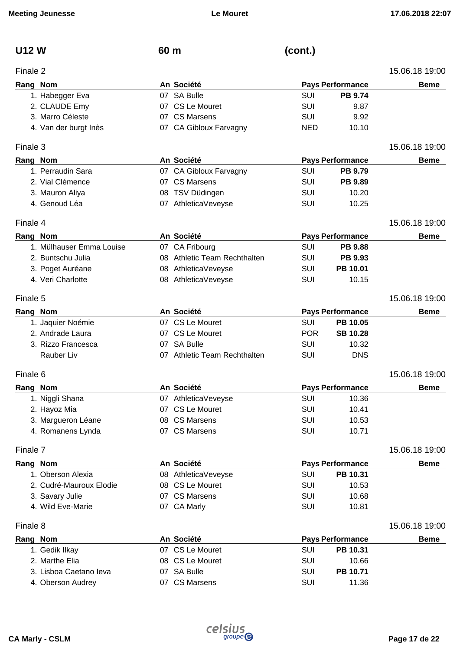| <b>U12 W</b>             | 60 m                         | (cont.)    |                         |                |
|--------------------------|------------------------------|------------|-------------------------|----------------|
| Finale 2                 |                              |            |                         | 15.06.18 19:00 |
| Rang Nom                 | An Société                   |            | <b>Pays Performance</b> | <b>Beme</b>    |
| 1. Habegger Eva          | 07 SA Bulle                  | <b>SUI</b> | <b>PB 9.74</b>          |                |
| 2. CLAUDE Emy            | 07 CS Le Mouret              | <b>SUI</b> | 9.87                    |                |
| 3. Marro Céleste         | 07 CS Marsens                | <b>SUI</b> | 9.92                    |                |
| 4. Van der burgt Inès    | 07 CA Gibloux Farvagny       | <b>NED</b> | 10.10                   |                |
| Finale 3                 |                              |            |                         | 15.06.18 19:00 |
| Rang Nom                 | An Société                   |            | <b>Pays Performance</b> | <b>Beme</b>    |
| 1. Perraudin Sara        | 07 CA Gibloux Farvagny       | SUI        | PB 9.79                 |                |
| 2. Vial Clémence         | 07 CS Marsens                | <b>SUI</b> | PB 9.89                 |                |
| 3. Mauron Aliya          | 08 TSV Düdingen              | <b>SUI</b> | 10.20                   |                |
| 4. Genoud Léa            | 07 AthleticaVeveyse          | SUI        | 10.25                   |                |
| Finale 4                 |                              |            |                         | 15.06.18 19:00 |
| Rang Nom                 | An Société                   |            | <b>Pays Performance</b> | <b>Beme</b>    |
| 1. Mülhauser Emma Louise | 07 CA Fribourg               | <b>SUI</b> | <b>PB 9.88</b>          |                |
| 2. Buntschu Julia        | 08 Athletic Team Rechthalten | SUI        | PB 9.93                 |                |
| 3. Poget Auréane         | 08 AthleticaVeveyse          | <b>SUI</b> | PB 10.01                |                |
| 4. Veri Charlotte        | 08 AthleticaVeveyse          | <b>SUI</b> | 10.15                   |                |
| Finale 5                 |                              |            |                         | 15.06.18 19:00 |
| Rang Nom                 | An Société                   |            | <b>Pays Performance</b> | <b>Beme</b>    |
| 1. Jaquier Noémie        | 07 CS Le Mouret              | <b>SUI</b> | PB 10.05                |                |
| 2. Andrade Laura         | 07 CS Le Mouret              | <b>POR</b> | <b>SB 10.28</b>         |                |
| 3. Rizzo Francesca       | 07 SA Bulle                  | <b>SUI</b> | 10.32                   |                |
| Rauber Liv               | 07 Athletic Team Rechthalten | <b>SUI</b> | <b>DNS</b>              |                |
| Finale 6                 |                              |            |                         | 15.06.18 19:00 |
| Rang Nom                 | An Société                   |            | <b>Pays Performance</b> | <b>Beme</b>    |
| 1. Niggli Shana          | 07 AthleticaVeveyse          | <b>SUI</b> | 10.36                   |                |
| 2. Hayoz Mia             | 07 CS Le Mouret              | <b>SUI</b> | 10.41                   |                |
| 3. Margueron Léane       | 08 CS Marsens                | SUI        | 10.53                   |                |
| 4. Romanens Lynda        | 07 CS Marsens                | SUI        | 10.71                   |                |
| Finale 7                 |                              |            |                         | 15.06.18 19:00 |
| Rang Nom                 | An Société                   |            | <b>Pays Performance</b> | <b>Beme</b>    |
| 1. Oberson Alexia        | 08 AthleticaVeveyse          | <b>SUI</b> | PB 10.31                |                |
| 2. Cudré-Mauroux Elodie  | 08 CS Le Mouret              | SUI        | 10.53                   |                |
| 3. Savary Julie          | 07 CS Marsens                | <b>SUI</b> | 10.68                   |                |
| 4. Wild Eve-Marie        | 07 CA Marly                  | SUI        | 10.81                   |                |
| Finale 8                 |                              |            |                         | 15.06.18 19:00 |
| Rang Nom                 | An Société                   |            | <b>Pays Performance</b> | <b>Beme</b>    |
| 1. Gedik Ilkay           | 07 CS Le Mouret              | SUI        | PB 10.31                |                |
| 2. Marthe Elia           | 08 CS Le Mouret              | SUI        | 10.66                   |                |
| 3. Lisboa Caetano leva   | 07 SA Bulle                  | <b>SUI</b> | PB 10.71                |                |
| 4. Oberson Audrey        | 07 CS Marsens                | SUI        | 11.36                   |                |
|                          |                              |            |                         |                |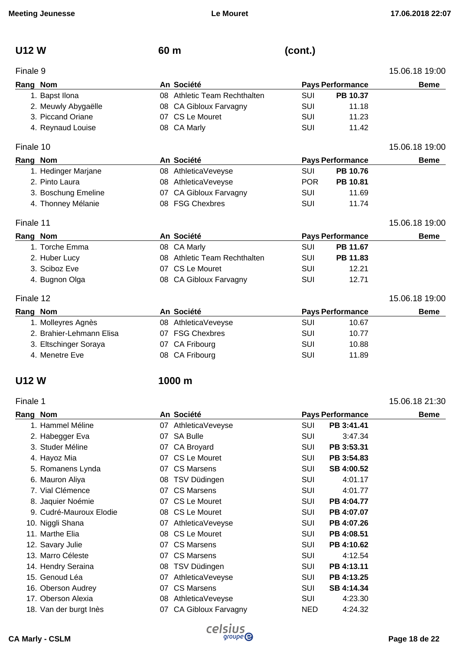| <b>U12W</b> | 60 m | (cont.) |
|-------------|------|---------|
|             |      |         |

| Finale 9  |                          |    |                              |            |                         | 15.06.18 19:00 |
|-----------|--------------------------|----|------------------------------|------------|-------------------------|----------------|
| Rang Nom  |                          |    | An Société                   |            | <b>Pays Performance</b> | <b>Beme</b>    |
|           | 1. Bapst Ilona           |    | 08 Athletic Team Rechthalten | SUI        | PB 10.37                |                |
|           | 2. Meuwly Abygaëlle      |    | 08 CA Gibloux Farvagny       | SUI        | 11.18                   |                |
|           | 3. Piccand Oriane        |    | 07 CS Le Mouret              | SUI        | 11.23                   |                |
|           | 4. Reynaud Louise        |    | 08 CA Marly                  | SUI        | 11.42                   |                |
| Finale 10 |                          |    |                              |            |                         | 15.06.18 19:00 |
| Rang Nom  |                          |    | An Société                   |            | <b>Pays Performance</b> | <b>Beme</b>    |
|           | 1. Hedinger Marjane      |    | 08 AthleticaVeveyse          | <b>SUI</b> | PB 10.76                |                |
|           | 2. Pinto Laura           |    | 08 AthleticaVeveyse          | <b>POR</b> | PB 10.81                |                |
|           | 3. Boschung Emeline      | 07 | CA Gibloux Farvagny          | <b>SUI</b> | 11.69                   |                |
|           | 4. Thonney Mélanie       |    | 08 FSG Chexbres              | <b>SUI</b> | 11.74                   |                |
| Finale 11 |                          |    |                              |            |                         | 15.06.18 19:00 |
| Rang Nom  |                          |    | An Société                   |            | <b>Pays Performance</b> | <b>Beme</b>    |
|           | 1. Torche Emma           |    | 08 CA Marly                  | SUI        | PB 11.67                |                |
|           | 2. Huber Lucy            |    | 08 Athletic Team Rechthalten | SUI        | PB 11.83                |                |
|           | 3. Sciboz Eve            |    | 07 CS Le Mouret              | SUI        | 12.21                   |                |
|           | 4. Bugnon Olga           |    | 08 CA Gibloux Farvagny       | SUI        | 12.71                   |                |
| Finale 12 |                          |    |                              |            |                         | 15.06.18 19:00 |
| Rang Nom  |                          |    | An Société                   |            | <b>Pays Performance</b> | <b>Beme</b>    |
|           | 1. Molleyres Agnès       |    | 08 AthleticaVeveyse          | SUI        | 10.67                   |                |
|           | 2. Brahier-Lehmann Elisa |    | 07 FSG Chexbres              | SUI        | 10.77                   |                |
|           | 3. Eltschinger Soraya    | 07 | CA Fribourg                  | SUI        | 10.88                   |                |
|           | 4. Menetre Eve           |    | 08 CA Fribourg               | SUI        | 11.89                   |                |
|           |                          |    |                              |            |                         |                |

### **U12 W 1000 m**

### Finale 1 15.06.18 21:30

### **Rang** Nom **Beme An Société Pays** Performance **Beme** 1. Hammel Méline 07 AthleticaVeveyse SUI **PB 3:41.41** 2. Habegger Eva 07 SA Bulle SUI 3:47.34 3. Studer Méline 07 CA Broyard SUI **PB 3:53.31** 4. Hayoz Mia **blue Company CS Le Mouret** CS Le Mouret CS UI **PB 3:54.83** 5. Romanens Lynda **COMA OP** CS Marsens **SUI SB 4:00.52** 6. Mauron Aliya 08 TSV Düdingen SUI 4:01.17 7. Vial Clémence **07 CS Marsens** COMEX COMEX COMEX COMEX CONTRACT A:01.77 8. Jaquier Noémie **18. ISBN 2018 10-11-20 CS Le Mouret** SUI **PB 4:04.77** 9. Cudré-Mauroux Elodie 08 CS Le Mouret SUI **PB 4:07.07** 10. Niggli Shana 07 AthleticaVeveyse SUI **PB 4:07.26** 11. Marthe Elia 08 CS Le Mouret SUI **PB 4:08.51** 12. Savary Julie 07 CS Marsens SUI **PB 4:10.62** 13. Marro Céleste 07 CS Marsens SUI 4:12.54 14. Hendry Seraina 08 TSV Düdingen SUI **PB 4:13.11** 15. Genoud Léa 07 AthleticaVeveyse SUI **PB 4:13.25** 16. Oberson Audrey 07 CS Marsens SUI **SB 4:14.34** 17. Oberson Alexia 08 AthleticaVeveyse SUI 4:23.30 18. Van der burgt Inès 07 CA Gibloux Farvagny NED 4:24.32

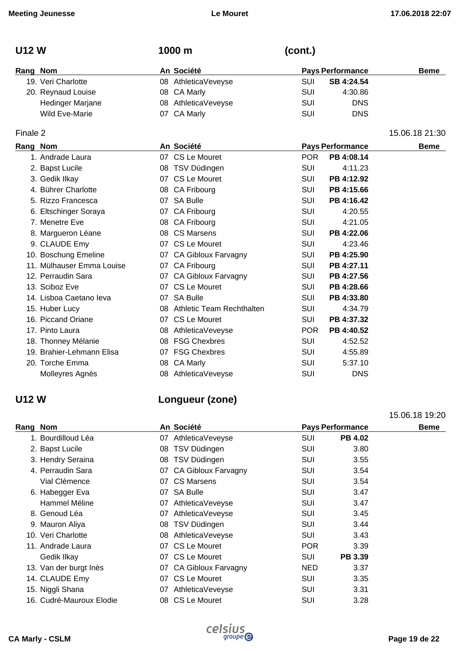| <b>U12 W</b> |                       | 1000 m              | (cont.) |                         |                |
|--------------|-----------------------|---------------------|---------|-------------------------|----------------|
| Rang Nom     |                       | An Société          |         | <b>Pays Performance</b> | <b>Beme</b>    |
|              | 19. Veri Charlotte    | 08 AthleticaVeveyse | SUI     | SB 4:24.54              |                |
|              | 20. Reynaud Louise    | 08 CA Marly         | SUI     | 4:30.86                 |                |
|              | Hedinger Marjane      | 08 AthleticaVeveyse | SUI     | <b>DNS</b>              |                |
|              | <b>Wild Eve-Marie</b> | 07 CA Marly         | SUI     | <b>DNS</b>              |                |
| Finale 2     |                       |                     |         |                         | 15.06.18 21:30 |

| Rang Nom |                           |    | An Société                   |            | <b>Pays Performance</b> | <b>Beme</b> |
|----------|---------------------------|----|------------------------------|------------|-------------------------|-------------|
|          | 1. Andrade Laura          |    | 07 CS Le Mouret              | <b>POR</b> | PB 4:08.14              |             |
|          | 2. Bapst Lucile           |    | 08 TSV Düdingen              | SUI        | 4:11.23                 |             |
|          | 3. Gedik Ilkay            |    | 07 CS Le Mouret              | SUI        | PB 4:12.92              |             |
|          | 4. Bührer Charlotte       |    | 08 CA Fribourg               | <b>SUI</b> | PB 4:15.66              |             |
|          | 5. Rizzo Francesca        |    | 07 SA Bulle                  | SUI        | PB 4:16.42              |             |
|          | 6. Eltschinger Soraya     |    | 07 CA Fribourg               | <b>SUI</b> | 4:20.55                 |             |
|          | 7. Menetre Eve            |    | 08 CA Fribourg               | SUI        | 4:21.05                 |             |
|          | 8. Margueron Léane        |    | 08 CS Marsens                | SUI        | PB 4:22.06              |             |
|          | 9. CLAUDE Emy             |    | 07 CS Le Mouret              | <b>SUI</b> | 4:23.46                 |             |
|          | 10. Boschung Emeline      |    | 07 CA Gibloux Farvagny       | SUI        | PB 4:25.90              |             |
|          | 11. Mülhauser Emma Louise |    | 07 CA Fribourg               | SUI        | PB 4:27.11              |             |
|          | 12. Perraudin Sara        |    | 07 CA Gibloux Farvagny       | SUI        | PB 4:27.56              |             |
|          | 13. Sciboz Eve            |    | 07 CS Le Mouret              | <b>SUI</b> | PB 4:28.66              |             |
|          | 14. Lisboa Caetano leva   |    | 07 SA Bulle                  | SUI        | PB 4:33.80              |             |
|          | 15. Huber Lucy            |    | 08 Athletic Team Rechthalten | SUI        | 4:34.79                 |             |
|          | 16. Piccand Oriane        |    | 07 CS Le Mouret              | SUI        | PB 4:37.32              |             |
|          | 17. Pinto Laura           |    | 08 AthleticaVeveyse          | <b>POR</b> | PB 4:40.52              |             |
|          | 18. Thonney Mélanie       |    | 08 FSG Chexbres              | SUI        | 4:52.52                 |             |
|          | 19. Brahier-Lehmann Elisa |    | 07 FSG Chexbres              | SUI        | 4:55.89                 |             |
|          | 20. Torche Emma           | 08 | <b>CA Marly</b>              | <b>SUI</b> | 5:37.10                 |             |
|          | Molleyres Agnès           |    | 08 AthleticaVeveyse          | <b>SUI</b> | <b>DNS</b>              |             |

## **U12 W Longueur (zone)**

|                          |                        |                              | 15.06.18 19:20 |
|--------------------------|------------------------|------------------------------|----------------|
| Rang Nom                 | An Société             | <b>Pays Performance</b>      | <b>Beme</b>    |
| 1. Bourdilloud Léa       | 07 AthleticaVeveyse    | <b>SUI</b><br><b>PB 4.02</b> |                |
| 2. Bapst Lucile          | TSV Düdingen<br>08     | <b>SUI</b><br>3.80           |                |
| 3. Hendry Seraina        | TSV Düdingen<br>08     | SUI<br>3.55                  |                |
| 4. Perraudin Sara        | 07 CA Gibloux Farvagny | SUI<br>3.54                  |                |
| Vial Clémence            | 07 CS Marsens          | SUI<br>3.54                  |                |
| 6. Habegger Eva          | 07 SA Bulle            | <b>SUI</b><br>3.47           |                |
| Hammel Méline            | 07 AthleticaVeveyse    | <b>SUI</b><br>3.47           |                |
| 8. Genoud Léa            | AthleticaVeveyse<br>07 | <b>SUI</b><br>3.45           |                |
| 9. Mauron Aliya          | 08 TSV Düdingen        | <b>SUI</b><br>3.44           |                |
| 10. Veri Charlotte       | 08 AthleticaVeveyse    | SUI<br>3.43                  |                |
| 11. Andrade Laura        | CS Le Mouret<br>07     | <b>POR</b><br>3.39           |                |
| Gedik Ilkay              | 07 CS Le Mouret        | <b>SUI</b><br>PB 3.39        |                |
| 13. Van der burgt Inès   | 07 CA Gibloux Farvagny | NED.<br>3.37                 |                |
| 14. CLAUDE Emy           | 07 CS Le Mouret        | <b>SUI</b><br>3.35           |                |
| 15. Niggli Shana         | 07 AthleticaVeveyse    | SUI<br>3.31                  |                |
| 16. Cudré-Mauroux Elodie | 08 CS Le Mouret        | <b>SUI</b><br>3.28           |                |

# **CA Marly - CSLM Page 19 de 22**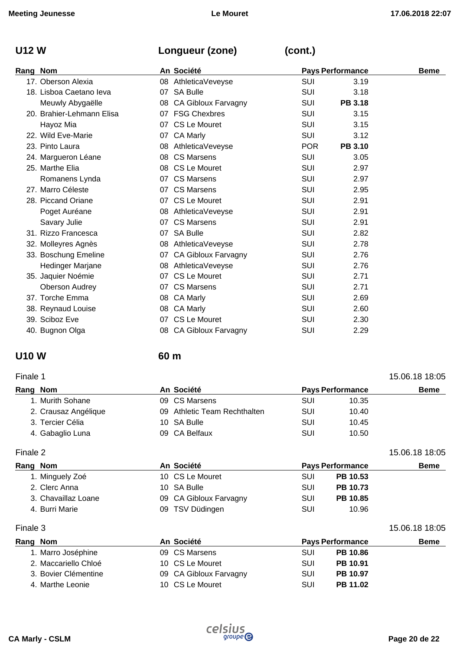## **U12 W Longueur (zone) (cont.)**

| Rang Nom                  |    | An Société                 | <b>Pays Performance</b> | <b>Beme</b>    |  |
|---------------------------|----|----------------------------|-------------------------|----------------|--|
| 17. Oberson Alexia        |    | 08 AthleticaVeveyse        | SUI                     | 3.19           |  |
| 18. Lisboa Caetano leva   |    | 07 SA Bulle                | <b>SUI</b>              | 3.18           |  |
| Meuwly Abygaëlle          |    | 08 CA Gibloux Farvagny     | <b>SUI</b>              | PB 3.18        |  |
| 20. Brahier-Lehmann Elisa |    | 07 FSG Chexbres            | SUI                     | 3.15           |  |
| Hayoz Mia                 |    | 07 CS Le Mouret            | SUI                     | 3.15           |  |
| 22. Wild Eve-Marie        |    | 07 CA Marly                | SUI                     | 3.12           |  |
| 23. Pinto Laura           |    | 08 AthleticaVeveyse        | <b>POR</b>              | <b>PB 3.10</b> |  |
| 24. Margueron Léane       |    | 08 CS Marsens              | SUI                     | 3.05           |  |
| 25. Marthe Elia           |    | 08 CS Le Mouret            | <b>SUI</b>              | 2.97           |  |
| Romanens Lynda            |    | 07 CS Marsens              | SUI                     | 2.97           |  |
| 27. Marro Céleste         |    | 07 CS Marsens              | SUI                     | 2.95           |  |
| 28. Piccand Oriane        |    | 07 CS Le Mouret            | SUI                     | 2.91           |  |
| Poget Auréane             |    | 08 AthleticaVeveyse        | SUI                     | 2.91           |  |
| Savary Julie              |    | 07 CS Marsens              | SUI                     | 2.91           |  |
| 31. Rizzo Francesca       |    | 07 SA Bulle                | SUI                     | 2.82           |  |
| 32. Molleyres Agnès       |    | 08 AthleticaVeveyse        | <b>SUI</b>              | 2.78           |  |
| 33. Boschung Emeline      |    | 07 CA Gibloux Farvagny     | <b>SUI</b>              | 2.76           |  |
| Hedinger Marjane          |    | 08 AthleticaVeveyse        | <b>SUI</b>              | 2.76           |  |
| 35. Jaquier Noémie        |    | 07 CS Le Mouret            | SUI                     | 2.71           |  |
| <b>Oberson Audrey</b>     |    | 07 CS Marsens              | SUI                     | 2.71           |  |
| 37. Torche Emma           |    | 08 CA Marly                | SUI                     | 2.69           |  |
| 38. Reynaud Louise        |    | 08 CA Marly                | SUI                     | 2.60           |  |
| 39. Sciboz Eve            |    | 07 CS Le Mouret            | <b>SUI</b>              | 2.30           |  |
| 40. Bugnon Olga           | 08 | <b>CA Gibloux Farvagny</b> | <b>SUI</b>              | 2.29           |  |
|                           |    |                            |                         |                |  |

## **U10 W 60 m**

| Finale 1             |  |  |                                                                                             |       | 15.06.18 18:05          |
|----------------------|--|--|---------------------------------------------------------------------------------------------|-------|-------------------------|
| Rang Nom             |  |  |                                                                                             |       | <b>Beme</b>             |
| 1. Murith Sohane     |  |  | SUI                                                                                         | 10.35 |                         |
| 2. Crausaz Angélique |  |  | SUI                                                                                         | 10.40 |                         |
| 3. Tercier Célia     |  |  | SUI                                                                                         | 10.45 |                         |
| 4. Gabaglio Luna     |  |  | SUI                                                                                         | 10.50 |                         |
|                      |  |  | An Société<br>09 CS Marsens<br>09 Athletic Team Rechthalten<br>10 SA Bulle<br>09 CA Belfaux |       | <b>Pays Performance</b> |

Finale 2 15.06.18 18:05

| Rang Nom            | An Société             | <b>Pays Performance</b> | <b>Beme</b> |
|---------------------|------------------------|-------------------------|-------------|
| 1. Minguely Zoé     | 10 CS Le Mouret        | PB 10.53<br><b>SUI</b>  |             |
| 2. Clerc Anna       | 10 SA Bulle            | PB 10.73<br><b>SUI</b>  |             |
| 3. Chavaillaz Loane | 09 CA Gibloux Farvagny | PB 10.85<br>SUI         |             |
| 4. Burri Marie      | 09 TSV Düdingen        | SUI<br>10.96            |             |

Finale 3 15.06.18 18:05

| Rang Nom             | An Société             |     | <b>Pays Performance</b> | <b>Beme</b> |
|----------------------|------------------------|-----|-------------------------|-------------|
| 1. Marro Joséphine   | 09 CS Marsens          | SUI | <b>PB 10.86</b>         |             |
| 2. Maccariello Chloé | 10 CS Le Mouret        | SUI | PB 10.91                |             |
| 3. Bovier Clémentine | 09 CA Gibloux Farvagny | SUI | PB 10.97                |             |
| 4. Marthe Leonie     | 10 CS Le Mouret        | SUI | PB 11.02                |             |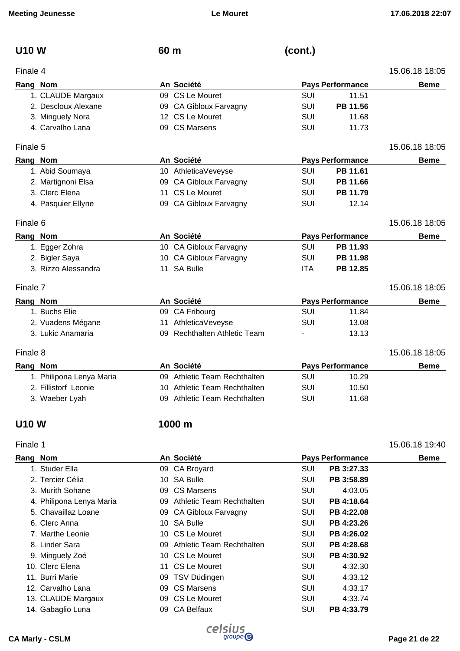| <b>U10 W</b>      | 60 <sub>m</sub> | (cont.)                 |                |
|-------------------|-----------------|-------------------------|----------------|
| Finale 4          |                 |                         | 15.06.18 18:05 |
| Rang Nom          | An Société      | <b>Pays Performance</b> | <b>Beme</b>    |
| 1. CLAUDE Margaux | 09 CS Le Mouret | SUI<br>11.51            |                |

2. Descloux Alexane 09 CA Gibloux Farvagny SUI **PB 11.56** 3. Minguely Nora **12 CS Le Mouret** SUI 11.68 4. Carvalho Lana **11.73 11.73 11.73 11.73** 

### Finale 5 15.06.18 18:05

| Rang Nom           | An Société             | <b>Pays Performance</b> | <b>Beme</b> |
|--------------------|------------------------|-------------------------|-------------|
| 1. Abid Soumaya    | 10 AthleticaVeveyse    | PB 11.61<br>SUI         |             |
| 2. Martignoni Elsa | 09 CA Gibloux Farvagny | PB 11.66<br>SUI         |             |
| 3. Clerc Elena     | 11 CS Le Mouret        | PB 11.79<br>SUI         |             |
| 4. Pasquier Ellyne | 09 CA Gibloux Farvagny | SUI<br>12.14            |             |

### Finale 6 15.06.18 18:05

| Rang Nom |                     | An Société             |                         | <b>Pays Performance</b> |                |
|----------|---------------------|------------------------|-------------------------|-------------------------|----------------|
|          | 1. Egger Zohra      | 10 CA Gibloux Farvagny | SUI                     | PB 11.93                |                |
|          | 2. Bigler Saya      | 10 CA Gibloux Farvagny | SUI                     | PB 11.98                |                |
|          | 3. Rizzo Alessandra | 11 SA Bulle            | ITA                     | PB 12.85                |                |
| Finale 7 |                     |                        |                         |                         | 15.06.18 18:05 |
| Rang Nom |                     | An Société             | <b>Pays Performance</b> |                         | <b>Beme</b>    |

| An Société        |          |  | <b>Beme</b>                                                           |       |                         |
|-------------------|----------|--|-----------------------------------------------------------------------|-------|-------------------------|
| 1. Buchs Elie     |          |  | SUI                                                                   | 11.84 |                         |
| 2. Vuadens Mégane |          |  | SUI                                                                   | 13.08 |                         |
| 3. Lukic Anamaria |          |  | $\sim$                                                                | 13.13 |                         |
|                   | Rang Nom |  | 09 CA Fribourg<br>11 AthleticaVeveyse<br>09 Rechthalten Athletic Team |       | <b>Pays Performance</b> |

### Finale 8 15.06.18 18:05

| Rang Nom                 | An Société                   |     | <b>Pays Performance</b> |  |
|--------------------------|------------------------------|-----|-------------------------|--|
| 1. Philipona Lenya Maria | 09 Athletic Team Rechthalten | SUI | 10.29                   |  |
| 2. Fillistorf Leonie     | 10 Athletic Team Rechthalten | SUI | 10.50                   |  |
| 3. Waeber Lyah           | 09 Athletic Team Rechthalten | SUI | 11.68                   |  |

## **U10 W 1000 m**

### Finale 1 15.06.18 19:40

| Rang Nom |                          | An Société                   |            | <b>Pays Performance</b> | <b>Beme</b> |
|----------|--------------------------|------------------------------|------------|-------------------------|-------------|
|          | 1. Studer Ella           | 09 CA Broyard                | SUI        | PB 3:27.33              |             |
|          | 2. Tercier Célia         | 10 SA Bulle                  | <b>SUI</b> | PB 3:58.89              |             |
|          | 3. Murith Sohane         | 09 CS Marsens                | SUI        | 4:03.05                 |             |
|          | 4. Philipona Lenya Maria | 09 Athletic Team Rechthalten | <b>SUI</b> | PB 4:18.64              |             |
|          | 5. Chavaillaz Loane      | 09 CA Gibloux Farvagny       | SUI        | PB 4:22.08              |             |
|          | 6. Clerc Anna            | 10 SA Bulle                  | <b>SUI</b> | PB 4:23.26              |             |
|          | 7. Marthe Leonie         | 10 CS Le Mouret              | SUI        | PB 4:26.02              |             |
|          | 8. Linder Sara           | 09 Athletic Team Rechthalten | <b>SUI</b> | PB 4:28.68              |             |
|          | 9. Minguely Zoé          | 10 CS Le Mouret              | <b>SUI</b> | PB 4:30.92              |             |
|          | 10. Clerc Elena          | 11 CS Le Mouret              | <b>SUI</b> | 4:32.30                 |             |
|          | 11. Burri Marie          | 09 TSV Düdingen              | <b>SUI</b> | 4:33.12                 |             |
|          | 12. Carvalho Lana        | 09 CS Marsens                | <b>SUI</b> | 4:33.17                 |             |
|          | 13. CLAUDE Margaux       | 09 CS Le Mouret              | SUI        | 4:33.74                 |             |
|          | 14. Gabaglio Luna        | 09 CA Belfaux                | SUI        | PB 4:33.79              |             |